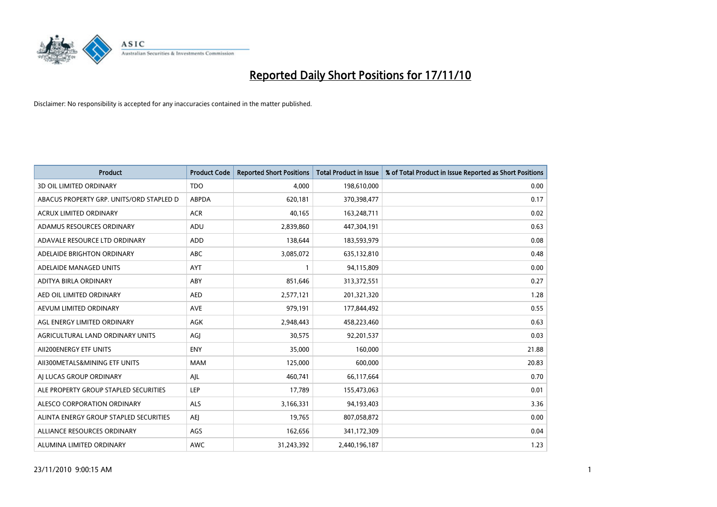

| <b>Product</b>                           | <b>Product Code</b> | <b>Reported Short Positions</b> | Total Product in Issue | % of Total Product in Issue Reported as Short Positions |
|------------------------------------------|---------------------|---------------------------------|------------------------|---------------------------------------------------------|
| <b>3D OIL LIMITED ORDINARY</b>           | <b>TDO</b>          | 4,000                           | 198,610,000            | 0.00                                                    |
| ABACUS PROPERTY GRP. UNITS/ORD STAPLED D | ABPDA               | 620,181                         | 370,398,477            | 0.17                                                    |
| <b>ACRUX LIMITED ORDINARY</b>            | <b>ACR</b>          | 40,165                          | 163,248,711            | 0.02                                                    |
| ADAMUS RESOURCES ORDINARY                | ADU                 | 2,839,860                       | 447,304,191            | 0.63                                                    |
| ADAVALE RESOURCE LTD ORDINARY            | <b>ADD</b>          | 138,644                         | 183,593,979            | 0.08                                                    |
| ADELAIDE BRIGHTON ORDINARY               | <b>ABC</b>          | 3,085,072                       | 635,132,810            | 0.48                                                    |
| ADELAIDE MANAGED UNITS                   | <b>AYT</b>          |                                 | 94,115,809             | 0.00                                                    |
| ADITYA BIRLA ORDINARY                    | ABY                 | 851,646                         | 313,372,551            | 0.27                                                    |
| AED OIL LIMITED ORDINARY                 | AED                 | 2,577,121                       | 201,321,320            | 1.28                                                    |
| AEVUM LIMITED ORDINARY                   | <b>AVE</b>          | 979,191                         | 177,844,492            | 0.55                                                    |
| AGL ENERGY LIMITED ORDINARY              | <b>AGK</b>          | 2,948,443                       | 458,223,460            | 0.63                                                    |
| AGRICULTURAL LAND ORDINARY UNITS         | AGJ                 | 30,575                          | 92,201,537             | 0.03                                                    |
| AII200ENERGY ETF UNITS                   | <b>ENY</b>          | 35,000                          | 160,000                | 21.88                                                   |
| AII300METALS&MINING ETF UNITS            | <b>MAM</b>          | 125,000                         | 600,000                | 20.83                                                   |
| AI LUCAS GROUP ORDINARY                  | AJL                 | 460,741                         | 66,117,664             | 0.70                                                    |
| ALE PROPERTY GROUP STAPLED SECURITIES    | LEP                 | 17,789                          | 155,473,063            | 0.01                                                    |
| ALESCO CORPORATION ORDINARY              | <b>ALS</b>          | 3,166,331                       | 94,193,403             | 3.36                                                    |
| ALINTA ENERGY GROUP STAPLED SECURITIES   | AEJ                 | 19,765                          | 807,058,872            | 0.00                                                    |
| ALLIANCE RESOURCES ORDINARY              | AGS                 | 162,656                         | 341,172,309            | 0.04                                                    |
| ALUMINA LIMITED ORDINARY                 | <b>AWC</b>          | 31,243,392                      | 2,440,196,187          | 1.23                                                    |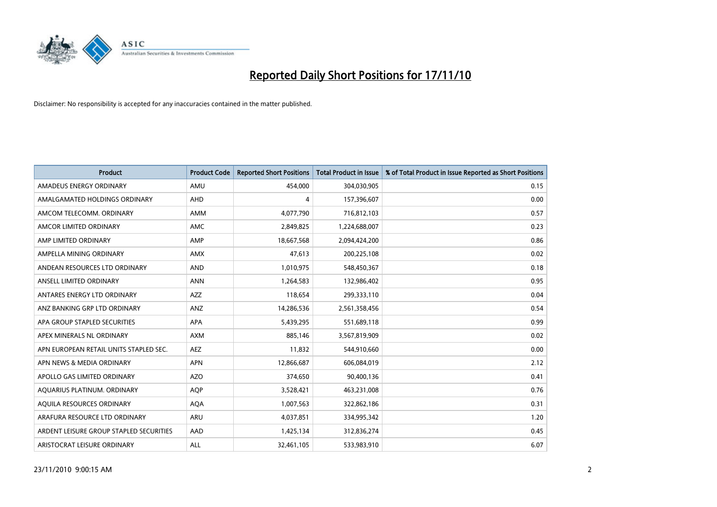

| <b>Product</b>                          | <b>Product Code</b> | <b>Reported Short Positions</b> | <b>Total Product in Issue</b> | % of Total Product in Issue Reported as Short Positions |
|-----------------------------------------|---------------------|---------------------------------|-------------------------------|---------------------------------------------------------|
| AMADEUS ENERGY ORDINARY                 | AMU                 | 454,000                         | 304,030,905                   | 0.15                                                    |
| AMALGAMATED HOLDINGS ORDINARY           | AHD                 | 4                               | 157,396,607                   | 0.00                                                    |
| AMCOM TELECOMM. ORDINARY                | <b>AMM</b>          | 4,077,790                       | 716,812,103                   | 0.57                                                    |
| AMCOR LIMITED ORDINARY                  | <b>AMC</b>          | 2,849,825                       | 1,224,688,007                 | 0.23                                                    |
| AMP LIMITED ORDINARY                    | AMP                 | 18,667,568                      | 2,094,424,200                 | 0.86                                                    |
| AMPELLA MINING ORDINARY                 | <b>AMX</b>          | 47,613                          | 200,225,108                   | 0.02                                                    |
| ANDEAN RESOURCES LTD ORDINARY           | <b>AND</b>          | 1,010,975                       | 548,450,367                   | 0.18                                                    |
| ANSELL LIMITED ORDINARY                 | <b>ANN</b>          | 1,264,583                       | 132,986,402                   | 0.95                                                    |
| ANTARES ENERGY LTD ORDINARY             | <b>AZZ</b>          | 118,654                         | 299,333,110                   | 0.04                                                    |
| ANZ BANKING GRP LTD ORDINARY            | ANZ                 | 14,286,536                      | 2,561,358,456                 | 0.54                                                    |
| APA GROUP STAPLED SECURITIES            | <b>APA</b>          | 5,439,295                       | 551,689,118                   | 0.99                                                    |
| APEX MINERALS NL ORDINARY               | <b>AXM</b>          | 885.146                         | 3,567,819,909                 | 0.02                                                    |
| APN EUROPEAN RETAIL UNITS STAPLED SEC.  | AEZ                 | 11,832                          | 544,910,660                   | 0.00                                                    |
| APN NEWS & MEDIA ORDINARY               | <b>APN</b>          | 12,866,687                      | 606,084,019                   | 2.12                                                    |
| APOLLO GAS LIMITED ORDINARY             | <b>AZO</b>          | 374,650                         | 90,400,136                    | 0.41                                                    |
| AQUARIUS PLATINUM. ORDINARY             | <b>AOP</b>          | 3,528,421                       | 463,231,008                   | 0.76                                                    |
| AQUILA RESOURCES ORDINARY               | <b>AQA</b>          | 1,007,563                       | 322,862,186                   | 0.31                                                    |
| ARAFURA RESOURCE LTD ORDINARY           | <b>ARU</b>          | 4,037,851                       | 334,995,342                   | 1.20                                                    |
| ARDENT LEISURE GROUP STAPLED SECURITIES | AAD                 | 1,425,134                       | 312,836,274                   | 0.45                                                    |
| ARISTOCRAT LEISURE ORDINARY             | ALL                 | 32,461,105                      | 533,983,910                   | 6.07                                                    |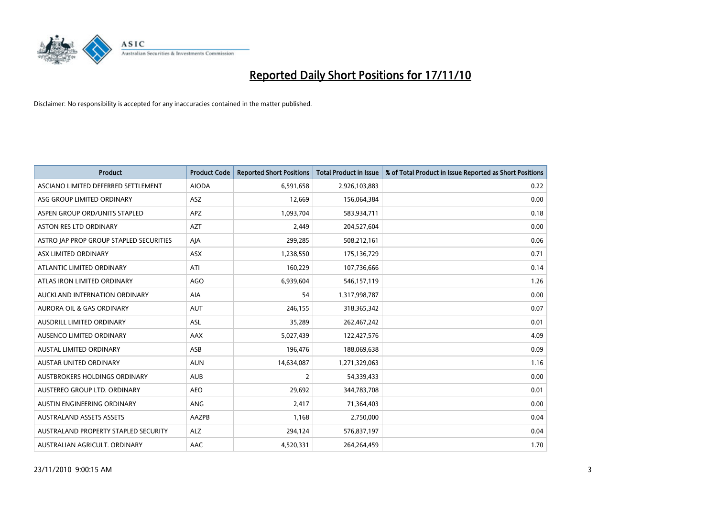

| <b>Product</b>                          | <b>Product Code</b> | <b>Reported Short Positions</b> | <b>Total Product in Issue</b> | % of Total Product in Issue Reported as Short Positions |
|-----------------------------------------|---------------------|---------------------------------|-------------------------------|---------------------------------------------------------|
| ASCIANO LIMITED DEFERRED SETTLEMENT     | <b>AIODA</b>        | 6,591,658                       | 2,926,103,883                 | 0.22                                                    |
| ASG GROUP LIMITED ORDINARY              | ASZ                 | 12,669                          | 156,064,384                   | 0.00                                                    |
| ASPEN GROUP ORD/UNITS STAPLED           | <b>APZ</b>          | 1,093,704                       | 583,934,711                   | 0.18                                                    |
| ASTON RES LTD ORDINARY                  | <b>AZT</b>          | 2,449                           | 204,527,604                   | 0.00                                                    |
| ASTRO JAP PROP GROUP STAPLED SECURITIES | AJA                 | 299,285                         | 508,212,161                   | 0.06                                                    |
| ASX LIMITED ORDINARY                    | ASX                 | 1,238,550                       | 175,136,729                   | 0.71                                                    |
| ATLANTIC LIMITED ORDINARY               | ATI                 | 160,229                         | 107,736,666                   | 0.14                                                    |
| ATLAS IRON LIMITED ORDINARY             | AGO                 | 6,939,604                       | 546,157,119                   | 1.26                                                    |
| AUCKLAND INTERNATION ORDINARY           | AIA                 | 54                              | 1,317,998,787                 | 0.00                                                    |
| <b>AURORA OIL &amp; GAS ORDINARY</b>    | <b>AUT</b>          | 246,155                         | 318,365,342                   | 0.07                                                    |
| AUSDRILL LIMITED ORDINARY               | <b>ASL</b>          | 35,289                          | 262,467,242                   | 0.01                                                    |
| AUSENCO LIMITED ORDINARY                | AAX                 | 5,027,439                       | 122,427,576                   | 4.09                                                    |
| <b>AUSTAL LIMITED ORDINARY</b>          | ASB                 | 196,476                         | 188,069,638                   | 0.09                                                    |
| <b>AUSTAR UNITED ORDINARY</b>           | <b>AUN</b>          | 14,634,087                      | 1,271,329,063                 | 1.16                                                    |
| AUSTBROKERS HOLDINGS ORDINARY           | <b>AUB</b>          | 2                               | 54,339,433                    | 0.00                                                    |
| AUSTEREO GROUP LTD. ORDINARY            | <b>AEO</b>          | 29,692                          | 344,783,708                   | 0.01                                                    |
| AUSTIN ENGINEERING ORDINARY             | ANG                 | 2,417                           | 71,364,403                    | 0.00                                                    |
| <b>AUSTRALAND ASSETS ASSETS</b>         | AAZPB               | 1,168                           | 2,750,000                     | 0.04                                                    |
| AUSTRALAND PROPERTY STAPLED SECURITY    | <b>ALZ</b>          | 294,124                         | 576,837,197                   | 0.04                                                    |
| AUSTRALIAN AGRICULT. ORDINARY           | AAC                 | 4,520,331                       | 264,264,459                   | 1.70                                                    |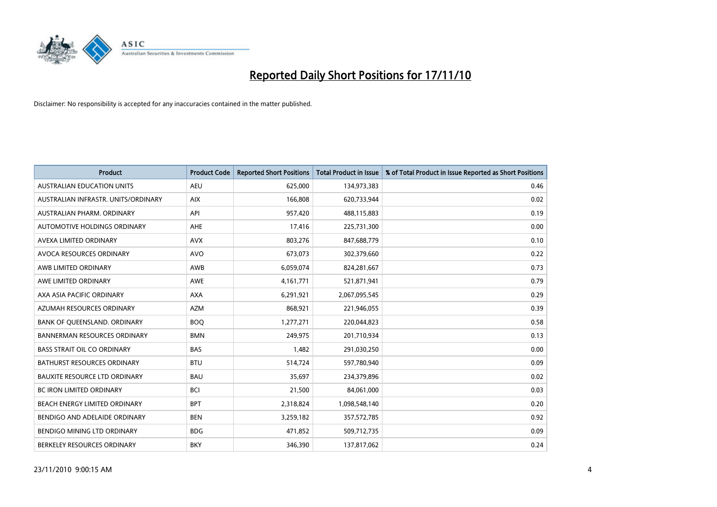

| <b>Product</b>                       | <b>Product Code</b> | <b>Reported Short Positions</b> | <b>Total Product in Issue</b> | % of Total Product in Issue Reported as Short Positions |
|--------------------------------------|---------------------|---------------------------------|-------------------------------|---------------------------------------------------------|
| <b>AUSTRALIAN EDUCATION UNITS</b>    | <b>AEU</b>          | 625,000                         | 134,973,383                   | 0.46                                                    |
| AUSTRALIAN INFRASTR. UNITS/ORDINARY  | <b>AIX</b>          | 166,808                         | 620,733,944                   | 0.02                                                    |
| AUSTRALIAN PHARM, ORDINARY           | API                 | 957,420                         | 488,115,883                   | 0.19                                                    |
| AUTOMOTIVE HOLDINGS ORDINARY         | AHE                 | 17,416                          | 225,731,300                   | 0.00                                                    |
| AVEXA LIMITED ORDINARY               | <b>AVX</b>          | 803,276                         | 847,688,779                   | 0.10                                                    |
| AVOCA RESOURCES ORDINARY             | <b>AVO</b>          | 673,073                         | 302,379,660                   | 0.22                                                    |
| AWB LIMITED ORDINARY                 | AWB                 | 6,059,074                       | 824,281,667                   | 0.73                                                    |
| AWE LIMITED ORDINARY                 | <b>AWE</b>          | 4, 161, 771                     | 521,871,941                   | 0.79                                                    |
| AXA ASIA PACIFIC ORDINARY            | <b>AXA</b>          | 6,291,921                       | 2,067,095,545                 | 0.29                                                    |
| AZUMAH RESOURCES ORDINARY            | <b>AZM</b>          | 868,921                         | 221,946,055                   | 0.39                                                    |
| BANK OF QUEENSLAND. ORDINARY         | <b>BOQ</b>          | 1,277,271                       | 220,044,823                   | 0.58                                                    |
| <b>BANNERMAN RESOURCES ORDINARY</b>  | <b>BMN</b>          | 249.975                         | 201,710,934                   | 0.13                                                    |
| <b>BASS STRAIT OIL CO ORDINARY</b>   | <b>BAS</b>          | 1,482                           | 291,030,250                   | 0.00                                                    |
| <b>BATHURST RESOURCES ORDINARY</b>   | <b>BTU</b>          | 514,724                         | 597,780,940                   | 0.09                                                    |
| <b>BAUXITE RESOURCE LTD ORDINARY</b> | <b>BAU</b>          | 35,697                          | 234,379,896                   | 0.02                                                    |
| BC IRON LIMITED ORDINARY             | <b>BCI</b>          | 21,500                          | 84,061,000                    | 0.03                                                    |
| <b>BEACH ENERGY LIMITED ORDINARY</b> | <b>BPT</b>          | 2,318,824                       | 1,098,548,140                 | 0.20                                                    |
| BENDIGO AND ADELAIDE ORDINARY        | <b>BEN</b>          | 3,259,182                       | 357,572,785                   | 0.92                                                    |
| <b>BENDIGO MINING LTD ORDINARY</b>   | <b>BDG</b>          | 471,852                         | 509,712,735                   | 0.09                                                    |
| BERKELEY RESOURCES ORDINARY          | <b>BKY</b>          | 346,390                         | 137,817,062                   | 0.24                                                    |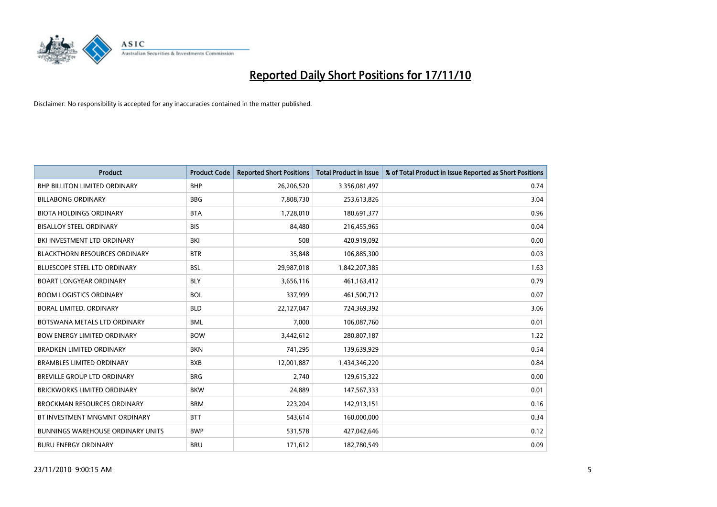

| <b>Product</b>                           | <b>Product Code</b> | <b>Reported Short Positions</b> | <b>Total Product in Issue</b> | % of Total Product in Issue Reported as Short Positions |
|------------------------------------------|---------------------|---------------------------------|-------------------------------|---------------------------------------------------------|
| <b>BHP BILLITON LIMITED ORDINARY</b>     | <b>BHP</b>          | 26,206,520                      | 3,356,081,497                 | 0.74                                                    |
| <b>BILLABONG ORDINARY</b>                | <b>BBG</b>          | 7,808,730                       | 253,613,826                   | 3.04                                                    |
| <b>BIOTA HOLDINGS ORDINARY</b>           | <b>BTA</b>          | 1,728,010                       | 180,691,377                   | 0.96                                                    |
| <b>BISALLOY STEEL ORDINARY</b>           | <b>BIS</b>          | 84,480                          | 216,455,965                   | 0.04                                                    |
| BKI INVESTMENT LTD ORDINARY              | <b>BKI</b>          | 508                             | 420,919,092                   | 0.00                                                    |
| <b>BLACKTHORN RESOURCES ORDINARY</b>     | <b>BTR</b>          | 35,848                          | 106,885,300                   | 0.03                                                    |
| <b>BLUESCOPE STEEL LTD ORDINARY</b>      | <b>BSL</b>          | 29,987,018                      | 1,842,207,385                 | 1.63                                                    |
| <b>BOART LONGYEAR ORDINARY</b>           | <b>BLY</b>          | 3,656,116                       | 461,163,412                   | 0.79                                                    |
| <b>BOOM LOGISTICS ORDINARY</b>           | <b>BOL</b>          | 337,999                         | 461,500,712                   | 0.07                                                    |
| <b>BORAL LIMITED, ORDINARY</b>           | <b>BLD</b>          | 22,127,047                      | 724,369,392                   | 3.06                                                    |
| BOTSWANA METALS LTD ORDINARY             | <b>BML</b>          | 7,000                           | 106,087,760                   | 0.01                                                    |
| <b>BOW ENERGY LIMITED ORDINARY</b>       | <b>BOW</b>          | 3,442,612                       | 280,807,187                   | 1.22                                                    |
| <b>BRADKEN LIMITED ORDINARY</b>          | <b>BKN</b>          | 741,295                         | 139,639,929                   | 0.54                                                    |
| <b>BRAMBLES LIMITED ORDINARY</b>         | <b>BXB</b>          | 12,001,887                      | 1,434,346,220                 | 0.84                                                    |
| BREVILLE GROUP LTD ORDINARY              | <b>BRG</b>          | 2,740                           | 129,615,322                   | 0.00                                                    |
| BRICKWORKS LIMITED ORDINARY              | <b>BKW</b>          | 24,889                          | 147,567,333                   | 0.01                                                    |
| <b>BROCKMAN RESOURCES ORDINARY</b>       | <b>BRM</b>          | 223,204                         | 142,913,151                   | 0.16                                                    |
| BT INVESTMENT MNGMNT ORDINARY            | <b>BTT</b>          | 543,614                         | 160,000,000                   | 0.34                                                    |
| <b>BUNNINGS WAREHOUSE ORDINARY UNITS</b> | <b>BWP</b>          | 531,578                         | 427,042,646                   | 0.12                                                    |
| <b>BURU ENERGY ORDINARY</b>              | <b>BRU</b>          | 171,612                         | 182,780,549                   | 0.09                                                    |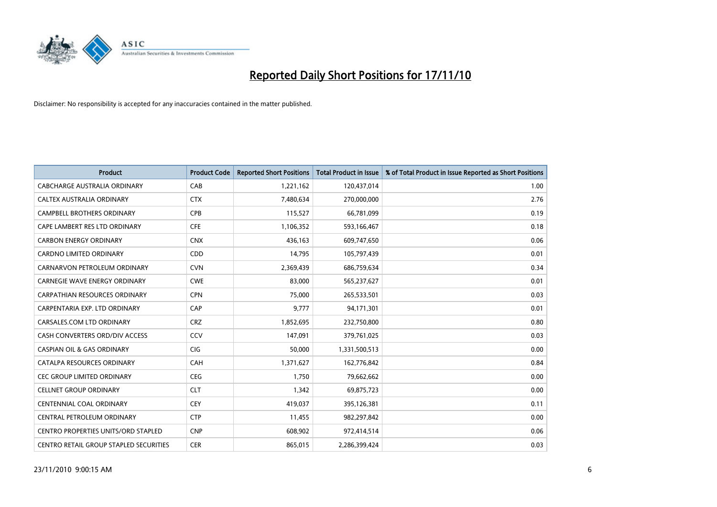

| <b>Product</b>                                | <b>Product Code</b> | <b>Reported Short Positions</b> | Total Product in Issue | % of Total Product in Issue Reported as Short Positions |
|-----------------------------------------------|---------------------|---------------------------------|------------------------|---------------------------------------------------------|
| CABCHARGE AUSTRALIA ORDINARY                  | CAB                 | 1,221,162                       | 120,437,014            | 1.00                                                    |
| CALTEX AUSTRALIA ORDINARY                     | <b>CTX</b>          | 7,480,634                       | 270,000,000            | 2.76                                                    |
| <b>CAMPBELL BROTHERS ORDINARY</b>             | CPB                 | 115,527                         | 66,781,099             | 0.19                                                    |
| CAPE LAMBERT RES LTD ORDINARY                 | <b>CFE</b>          | 1,106,352                       | 593,166,467            | 0.18                                                    |
| <b>CARBON ENERGY ORDINARY</b>                 | <b>CNX</b>          | 436.163                         | 609,747,650            | 0.06                                                    |
| <b>CARDNO LIMITED ORDINARY</b>                | CDD                 | 14,795                          | 105,797,439            | 0.01                                                    |
| CARNARVON PETROLEUM ORDINARY                  | <b>CVN</b>          | 2,369,439                       | 686,759,634            | 0.34                                                    |
| CARNEGIE WAVE ENERGY ORDINARY                 | <b>CWE</b>          | 83,000                          | 565,237,627            | 0.01                                                    |
| CARPATHIAN RESOURCES ORDINARY                 | <b>CPN</b>          | 75,000                          | 265,533,501            | 0.03                                                    |
| CARPENTARIA EXP. LTD ORDINARY                 | CAP                 | 9.777                           | 94,171,301             | 0.01                                                    |
| CARSALES.COM LTD ORDINARY                     | <b>CRZ</b>          | 1,852,695                       | 232,750,800            | 0.80                                                    |
| CASH CONVERTERS ORD/DIV ACCESS                | <b>CCV</b>          | 147,091                         | 379,761,025            | 0.03                                                    |
| <b>CASPIAN OIL &amp; GAS ORDINARY</b>         | <b>CIG</b>          | 50.000                          | 1,331,500,513          | 0.00                                                    |
| CATALPA RESOURCES ORDINARY                    | CAH                 | 1,371,627                       | 162,776,842            | 0.84                                                    |
| CEC GROUP LIMITED ORDINARY                    | <b>CEG</b>          | 1,750                           | 79,662,662             | 0.00                                                    |
| <b>CELLNET GROUP ORDINARY</b>                 | <b>CLT</b>          | 1,342                           | 69,875,723             | 0.00                                                    |
| <b>CENTENNIAL COAL ORDINARY</b>               | <b>CEY</b>          | 419,037                         | 395,126,381            | 0.11                                                    |
| CENTRAL PETROLEUM ORDINARY                    | <b>CTP</b>          | 11,455                          | 982,297,842            | 0.00                                                    |
| <b>CENTRO PROPERTIES UNITS/ORD STAPLED</b>    | <b>CNP</b>          | 608,902                         | 972,414,514            | 0.06                                                    |
| <b>CENTRO RETAIL GROUP STAPLED SECURITIES</b> | <b>CER</b>          | 865,015                         | 2,286,399,424          | 0.03                                                    |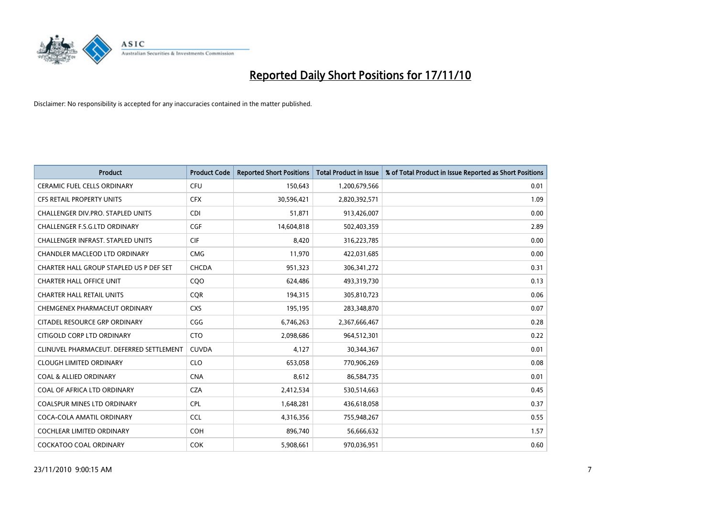

| <b>Product</b>                           | <b>Product Code</b> | <b>Reported Short Positions</b> | <b>Total Product in Issue</b> | % of Total Product in Issue Reported as Short Positions |
|------------------------------------------|---------------------|---------------------------------|-------------------------------|---------------------------------------------------------|
| <b>CERAMIC FUEL CELLS ORDINARY</b>       | <b>CFU</b>          | 150,643                         | 1,200,679,566                 | 0.01                                                    |
| CFS RETAIL PROPERTY UNITS                | <b>CFX</b>          | 30,596,421                      | 2,820,392,571                 | 1.09                                                    |
| CHALLENGER DIV.PRO. STAPLED UNITS        | <b>CDI</b>          | 51,871                          | 913,426,007                   | 0.00                                                    |
| CHALLENGER F.S.G.LTD ORDINARY            | <b>CGF</b>          | 14,604,818                      | 502,403,359                   | 2.89                                                    |
| <b>CHALLENGER INFRAST, STAPLED UNITS</b> | <b>CIF</b>          | 8,420                           | 316,223,785                   | 0.00                                                    |
| <b>CHANDLER MACLEOD LTD ORDINARY</b>     | <b>CMG</b>          | 11,970                          | 422,031,685                   | 0.00                                                    |
| CHARTER HALL GROUP STAPLED US P DEF SET  | <b>CHCDA</b>        | 951,323                         | 306, 341, 272                 | 0.31                                                    |
| <b>CHARTER HALL OFFICE UNIT</b>          | CQO                 | 624,486                         | 493,319,730                   | 0.13                                                    |
| <b>CHARTER HALL RETAIL UNITS</b>         | <b>COR</b>          | 194,315                         | 305,810,723                   | 0.06                                                    |
| CHEMGENEX PHARMACEUT ORDINARY            | <b>CXS</b>          | 195,195                         | 283,348,870                   | 0.07                                                    |
| CITADEL RESOURCE GRP ORDINARY            | CGG                 | 6,746,263                       | 2,367,666,467                 | 0.28                                                    |
| CITIGOLD CORP LTD ORDINARY               | <b>CTO</b>          | 2,098,686                       | 964,512,301                   | 0.22                                                    |
| CLINUVEL PHARMACEUT. DEFERRED SETTLEMENT | <b>CUVDA</b>        | 4,127                           | 30,344,367                    | 0.01                                                    |
| <b>CLOUGH LIMITED ORDINARY</b>           | <b>CLO</b>          | 653,058                         | 770,906,269                   | 0.08                                                    |
| <b>COAL &amp; ALLIED ORDINARY</b>        | <b>CNA</b>          | 8,612                           | 86,584,735                    | 0.01                                                    |
| COAL OF AFRICA LTD ORDINARY              | <b>CZA</b>          | 2,412,534                       | 530,514,663                   | 0.45                                                    |
| <b>COALSPUR MINES LTD ORDINARY</b>       | <b>CPL</b>          | 1,648,281                       | 436,618,058                   | 0.37                                                    |
| COCA-COLA AMATIL ORDINARY                | <b>CCL</b>          | 4,316,356                       | 755,948,267                   | 0.55                                                    |
| <b>COCHLEAR LIMITED ORDINARY</b>         | <b>COH</b>          | 896,740                         | 56,666,632                    | 1.57                                                    |
| COCKATOO COAL ORDINARY                   | <b>COK</b>          | 5,908,661                       | 970,036,951                   | 0.60                                                    |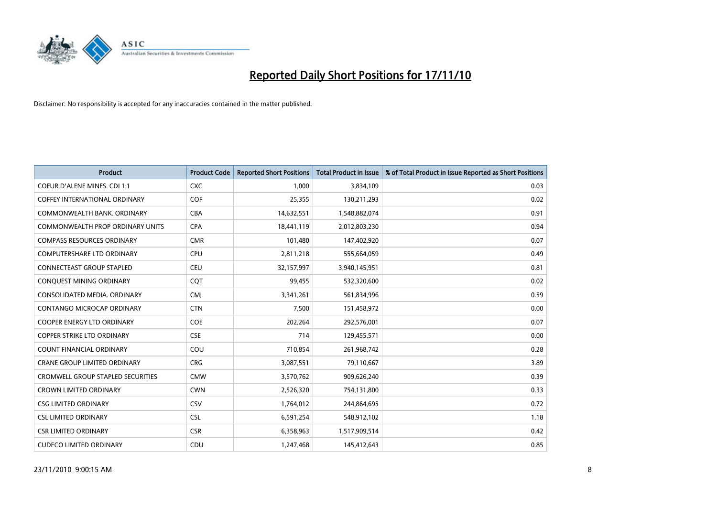

| <b>Product</b>                           | <b>Product Code</b> | <b>Reported Short Positions</b> | Total Product in Issue | % of Total Product in Issue Reported as Short Positions |
|------------------------------------------|---------------------|---------------------------------|------------------------|---------------------------------------------------------|
| <b>COEUR D'ALENE MINES. CDI 1:1</b>      | <b>CXC</b>          | 1,000                           | 3,834,109              | 0.03                                                    |
| COFFEY INTERNATIONAL ORDINARY            | <b>COF</b>          | 25,355                          | 130,211,293            | 0.02                                                    |
| COMMONWEALTH BANK, ORDINARY              | <b>CBA</b>          | 14,632,551                      | 1,548,882,074          | 0.91                                                    |
| COMMONWEALTH PROP ORDINARY UNITS         | <b>CPA</b>          | 18,441,119                      | 2,012,803,230          | 0.94                                                    |
| <b>COMPASS RESOURCES ORDINARY</b>        | <b>CMR</b>          | 101,480                         | 147,402,920            | 0.07                                                    |
| <b>COMPUTERSHARE LTD ORDINARY</b>        | <b>CPU</b>          | 2,811,218                       | 555,664,059            | 0.49                                                    |
| <b>CONNECTEAST GROUP STAPLED</b>         | <b>CEU</b>          | 32,157,997                      | 3,940,145,951          | 0.81                                                    |
| CONQUEST MINING ORDINARY                 | <b>CQT</b>          | 99,455                          | 532,320,600            | 0.02                                                    |
| CONSOLIDATED MEDIA, ORDINARY             | <b>CMI</b>          | 3,341,261                       | 561,834,996            | 0.59                                                    |
| <b>CONTANGO MICROCAP ORDINARY</b>        | <b>CTN</b>          | 7,500                           | 151,458,972            | 0.00                                                    |
| COOPER ENERGY LTD ORDINARY               | <b>COE</b>          | 202,264                         | 292,576,001            | 0.07                                                    |
| <b>COPPER STRIKE LTD ORDINARY</b>        | <b>CSE</b>          | 714                             | 129,455,571            | 0.00                                                    |
| <b>COUNT FINANCIAL ORDINARY</b>          | COU                 | 710,854                         | 261,968,742            | 0.28                                                    |
| <b>CRANE GROUP LIMITED ORDINARY</b>      | <b>CRG</b>          | 3,087,551                       | 79,110,667             | 3.89                                                    |
| <b>CROMWELL GROUP STAPLED SECURITIES</b> | <b>CMW</b>          | 3,570,762                       | 909,626,240            | 0.39                                                    |
| <b>CROWN LIMITED ORDINARY</b>            | <b>CWN</b>          | 2,526,320                       | 754,131,800            | 0.33                                                    |
| <b>CSG LIMITED ORDINARY</b>              | <b>CSV</b>          | 1,764,012                       | 244,864,695            | 0.72                                                    |
| <b>CSL LIMITED ORDINARY</b>              | <b>CSL</b>          | 6,591,254                       | 548,912,102            | 1.18                                                    |
| <b>CSR LIMITED ORDINARY</b>              | <b>CSR</b>          | 6,358,963                       | 1,517,909,514          | 0.42                                                    |
| <b>CUDECO LIMITED ORDINARY</b>           | CDU                 | 1,247,468                       | 145,412,643            | 0.85                                                    |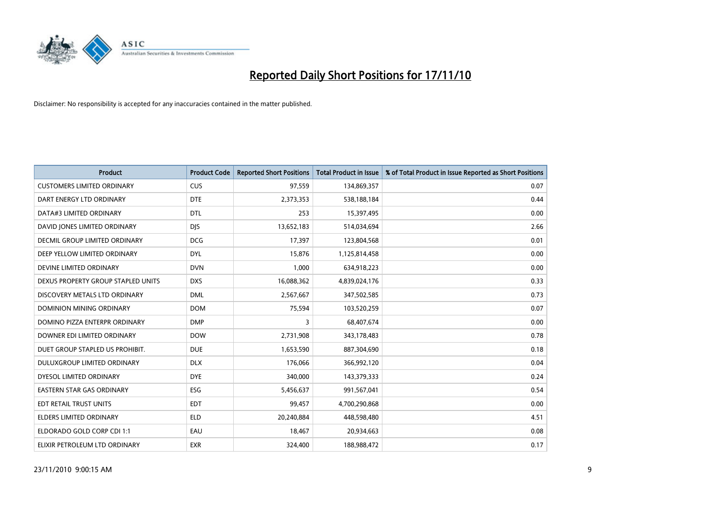

| <b>Product</b>                     | <b>Product Code</b> | <b>Reported Short Positions</b> | <b>Total Product in Issue</b> | % of Total Product in Issue Reported as Short Positions |
|------------------------------------|---------------------|---------------------------------|-------------------------------|---------------------------------------------------------|
| <b>CUSTOMERS LIMITED ORDINARY</b>  | <b>CUS</b>          | 97,559                          | 134,869,357                   | 0.07                                                    |
| DART ENERGY LTD ORDINARY           | <b>DTE</b>          | 2,373,353                       | 538,188,184                   | 0.44                                                    |
| DATA#3 LIMITED ORDINARY            | <b>DTL</b>          | 253                             | 15,397,495                    | 0.00                                                    |
| DAVID JONES LIMITED ORDINARY       | <b>DJS</b>          | 13,652,183                      | 514,034,694                   | 2.66                                                    |
| DECMIL GROUP LIMITED ORDINARY      | <b>DCG</b>          | 17,397                          | 123,804,568                   | 0.01                                                    |
| DEEP YELLOW LIMITED ORDINARY       | <b>DYL</b>          | 15,876                          | 1,125,814,458                 | 0.00                                                    |
| DEVINE LIMITED ORDINARY            | <b>DVN</b>          | 1,000                           | 634,918,223                   | 0.00                                                    |
| DEXUS PROPERTY GROUP STAPLED UNITS | <b>DXS</b>          | 16,088,362                      | 4,839,024,176                 | 0.33                                                    |
| DISCOVERY METALS LTD ORDINARY      | <b>DML</b>          | 2,567,667                       | 347,502,585                   | 0.73                                                    |
| <b>DOMINION MINING ORDINARY</b>    | <b>DOM</b>          | 75,594                          | 103,520,259                   | 0.07                                                    |
| DOMINO PIZZA ENTERPR ORDINARY      | <b>DMP</b>          | 3                               | 68,407,674                    | 0.00                                                    |
| DOWNER EDI LIMITED ORDINARY        | <b>DOW</b>          | 2,731,908                       | 343,178,483                   | 0.78                                                    |
| DUET GROUP STAPLED US PROHIBIT.    | <b>DUE</b>          | 1,653,590                       | 887,304,690                   | 0.18                                                    |
| DULUXGROUP LIMITED ORDINARY        | <b>DLX</b>          | 176,066                         | 366,992,120                   | 0.04                                                    |
| DYESOL LIMITED ORDINARY            | <b>DYE</b>          | 340,000                         | 143,379,333                   | 0.24                                                    |
| <b>EASTERN STAR GAS ORDINARY</b>   | ESG                 | 5,456,637                       | 991,567,041                   | 0.54                                                    |
| EDT RETAIL TRUST UNITS             | <b>EDT</b>          | 99,457                          | 4,700,290,868                 | 0.00                                                    |
| <b>ELDERS LIMITED ORDINARY</b>     | <b>ELD</b>          | 20,240,884                      | 448,598,480                   | 4.51                                                    |
| ELDORADO GOLD CORP CDI 1:1         | EAU                 | 18,467                          | 20,934,663                    | 0.08                                                    |
| ELIXIR PETROLEUM LTD ORDINARY      | <b>EXR</b>          | 324.400                         | 188,988,472                   | 0.17                                                    |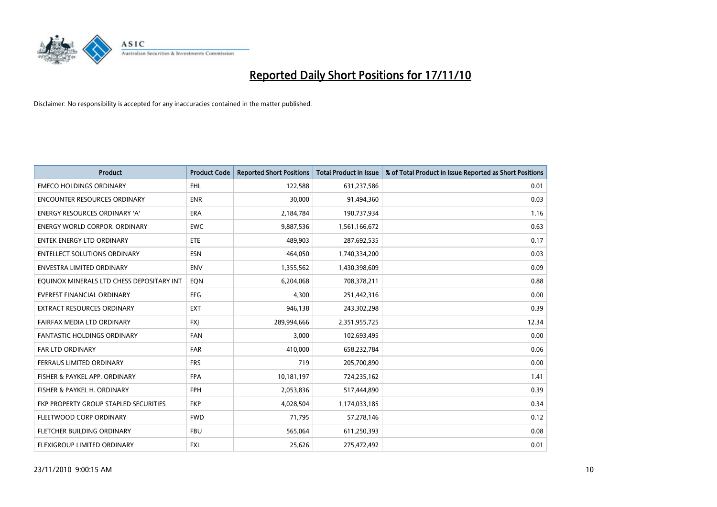

| <b>Product</b>                            | <b>Product Code</b> | <b>Reported Short Positions</b> | Total Product in Issue | % of Total Product in Issue Reported as Short Positions |
|-------------------------------------------|---------------------|---------------------------------|------------------------|---------------------------------------------------------|
| <b>EMECO HOLDINGS ORDINARY</b>            | <b>EHL</b>          | 122,588                         | 631,237,586            | 0.01                                                    |
| ENCOUNTER RESOURCES ORDINARY              | <b>ENR</b>          | 30,000                          | 91,494,360             | 0.03                                                    |
| <b>ENERGY RESOURCES ORDINARY 'A'</b>      | <b>ERA</b>          | 2,184,784                       | 190,737,934            | 1.16                                                    |
| <b>ENERGY WORLD CORPOR. ORDINARY</b>      | <b>EWC</b>          | 9,887,536                       | 1,561,166,672          | 0.63                                                    |
| <b>ENTEK ENERGY LTD ORDINARY</b>          | ETE                 | 489,903                         | 287,692,535            | 0.17                                                    |
| <b>ENTELLECT SOLUTIONS ORDINARY</b>       | <b>ESN</b>          | 464.050                         | 1,740,334,200          | 0.03                                                    |
| <b>ENVESTRA LIMITED ORDINARY</b>          | <b>ENV</b>          | 1,355,562                       | 1,430,398,609          | 0.09                                                    |
| EQUINOX MINERALS LTD CHESS DEPOSITARY INT | EQN                 | 6,204,068                       | 708,378,211            | 0.88                                                    |
| EVEREST FINANCIAL ORDINARY                | <b>EFG</b>          | 4,300                           | 251,442,316            | 0.00                                                    |
| <b>EXTRACT RESOURCES ORDINARY</b>         | <b>EXT</b>          | 946,138                         | 243,302,298            | 0.39                                                    |
| FAIRFAX MEDIA LTD ORDINARY                | <b>FXI</b>          | 289,994,666                     | 2,351,955,725          | 12.34                                                   |
| FANTASTIC HOLDINGS ORDINARY               | FAN                 | 3,000                           | 102,693,495            | 0.00                                                    |
| <b>FAR LTD ORDINARY</b>                   | <b>FAR</b>          | 410,000                         | 658,232,784            | 0.06                                                    |
| FERRAUS LIMITED ORDINARY                  | <b>FRS</b>          | 719                             | 205,700,890            | 0.00                                                    |
| FISHER & PAYKEL APP. ORDINARY             | <b>FPA</b>          | 10,181,197                      | 724,235,162            | 1.41                                                    |
| FISHER & PAYKEL H. ORDINARY               | <b>FPH</b>          | 2,053,836                       | 517,444,890            | 0.39                                                    |
| FKP PROPERTY GROUP STAPLED SECURITIES     | <b>FKP</b>          | 4,028,504                       | 1,174,033,185          | 0.34                                                    |
| FLEETWOOD CORP ORDINARY                   | <b>FWD</b>          | 71,795                          | 57,278,146             | 0.12                                                    |
| FLETCHER BUILDING ORDINARY                | <b>FBU</b>          | 565,064                         | 611,250,393            | 0.08                                                    |
| FLEXIGROUP LIMITED ORDINARY               | <b>FXL</b>          | 25,626                          | 275,472,492            | 0.01                                                    |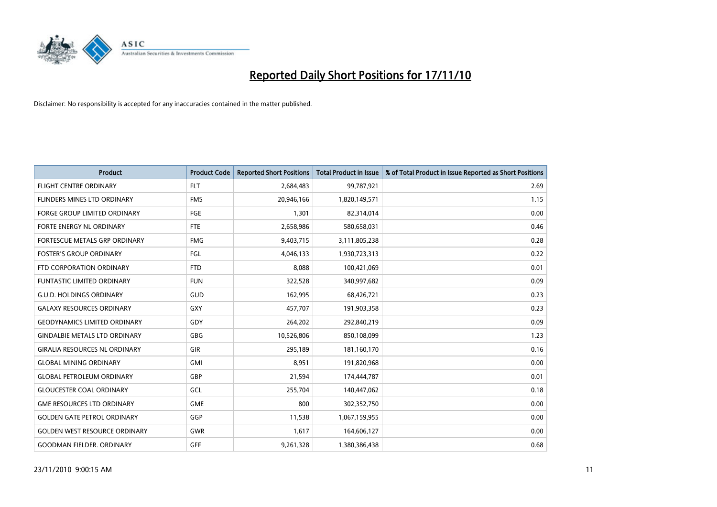

| <b>Product</b>                       | <b>Product Code</b> | <b>Reported Short Positions</b> | Total Product in Issue | % of Total Product in Issue Reported as Short Positions |
|--------------------------------------|---------------------|---------------------------------|------------------------|---------------------------------------------------------|
| <b>FLIGHT CENTRE ORDINARY</b>        | <b>FLT</b>          | 2,684,483                       | 99,787,921             | 2.69                                                    |
| FLINDERS MINES LTD ORDINARY          | <b>FMS</b>          | 20,946,166                      | 1,820,149,571          | 1.15                                                    |
| <b>FORGE GROUP LIMITED ORDINARY</b>  | FGE                 | 1,301                           | 82,314,014             | 0.00                                                    |
| FORTE ENERGY NL ORDINARY             | <b>FTE</b>          | 2,658,986                       | 580,658,031            | 0.46                                                    |
| FORTESCUE METALS GRP ORDINARY        | <b>FMG</b>          | 9,403,715                       | 3,111,805,238          | 0.28                                                    |
| <b>FOSTER'S GROUP ORDINARY</b>       | <b>FGL</b>          | 4,046,133                       | 1,930,723,313          | 0.22                                                    |
| FTD CORPORATION ORDINARY             | <b>FTD</b>          | 8,088                           | 100,421,069            | 0.01                                                    |
| <b>FUNTASTIC LIMITED ORDINARY</b>    | <b>FUN</b>          | 322,528                         | 340,997,682            | 0.09                                                    |
| <b>G.U.D. HOLDINGS ORDINARY</b>      | GUD                 | 162,995                         | 68,426,721             | 0.23                                                    |
| <b>GALAXY RESOURCES ORDINARY</b>     | <b>GXY</b>          | 457,707                         | 191,903,358            | 0.23                                                    |
| <b>GEODYNAMICS LIMITED ORDINARY</b>  | GDY                 | 264,202                         | 292,840,219            | 0.09                                                    |
| <b>GINDALBIE METALS LTD ORDINARY</b> | GBG                 | 10,526,806                      | 850,108,099            | 1.23                                                    |
| <b>GIRALIA RESOURCES NL ORDINARY</b> | GIR                 | 295,189                         | 181,160,170            | 0.16                                                    |
| <b>GLOBAL MINING ORDINARY</b>        | <b>GMI</b>          | 8,951                           | 191,820,968            | 0.00                                                    |
| <b>GLOBAL PETROLEUM ORDINARY</b>     | GBP                 | 21,594                          | 174,444,787            | 0.01                                                    |
| <b>GLOUCESTER COAL ORDINARY</b>      | GCL                 | 255,704                         | 140,447,062            | 0.18                                                    |
| <b>GME RESOURCES LTD ORDINARY</b>    | <b>GME</b>          | 800                             | 302,352,750            | 0.00                                                    |
| <b>GOLDEN GATE PETROL ORDINARY</b>   | GGP                 | 11,538                          | 1,067,159,955          | 0.00                                                    |
| <b>GOLDEN WEST RESOURCE ORDINARY</b> | <b>GWR</b>          | 1,617                           | 164,606,127            | 0.00                                                    |
| <b>GOODMAN FIELDER. ORDINARY</b>     | GFF                 | 9,261,328                       | 1,380,386,438          | 0.68                                                    |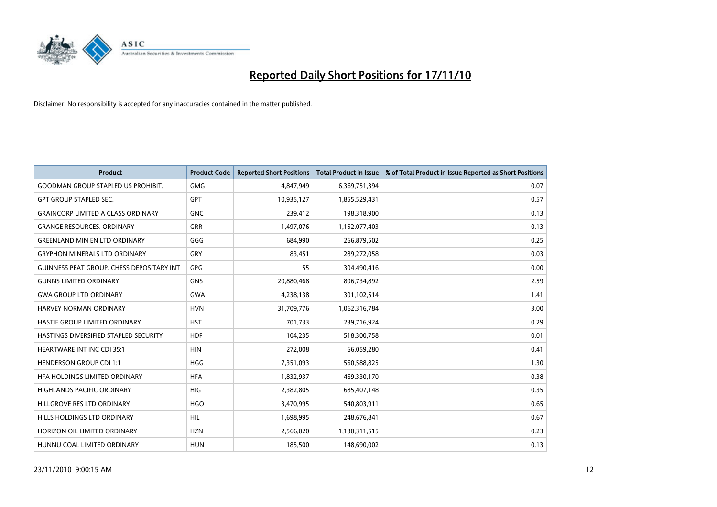

| <b>Product</b>                                   | <b>Product Code</b> | <b>Reported Short Positions</b> | <b>Total Product in Issue</b> | % of Total Product in Issue Reported as Short Positions |
|--------------------------------------------------|---------------------|---------------------------------|-------------------------------|---------------------------------------------------------|
| <b>GOODMAN GROUP STAPLED US PROHIBIT.</b>        | <b>GMG</b>          | 4,847,949                       | 6,369,751,394                 | 0.07                                                    |
| <b>GPT GROUP STAPLED SEC.</b>                    | <b>GPT</b>          | 10,935,127                      | 1,855,529,431                 | 0.57                                                    |
| <b>GRAINCORP LIMITED A CLASS ORDINARY</b>        | <b>GNC</b>          | 239,412                         | 198,318,900                   | 0.13                                                    |
| <b>GRANGE RESOURCES. ORDINARY</b>                | <b>GRR</b>          | 1,497,076                       | 1,152,077,403                 | 0.13                                                    |
| <b>GREENLAND MIN EN LTD ORDINARY</b>             | GGG                 | 684,990                         | 266,879,502                   | 0.25                                                    |
| <b>GRYPHON MINERALS LTD ORDINARY</b>             | <b>GRY</b>          | 83,451                          | 289,272,058                   | 0.03                                                    |
| <b>GUINNESS PEAT GROUP. CHESS DEPOSITARY INT</b> | <b>GPG</b>          | 55                              | 304,490,416                   | 0.00                                                    |
| <b>GUNNS LIMITED ORDINARY</b>                    | <b>GNS</b>          | 20,880,468                      | 806,734,892                   | 2.59                                                    |
| <b>GWA GROUP LTD ORDINARY</b>                    | <b>GWA</b>          | 4,238,138                       | 301,102,514                   | 1.41                                                    |
| <b>HARVEY NORMAN ORDINARY</b>                    | <b>HVN</b>          | 31,709,776                      | 1,062,316,784                 | 3.00                                                    |
| HASTIE GROUP LIMITED ORDINARY                    | <b>HST</b>          | 701,733                         | 239,716,924                   | 0.29                                                    |
| HASTINGS DIVERSIFIED STAPLED SECURITY            | <b>HDF</b>          | 104,235                         | 518,300,758                   | 0.01                                                    |
| <b>HEARTWARE INT INC CDI 35:1</b>                | <b>HIN</b>          | 272,008                         | 66,059,280                    | 0.41                                                    |
| <b>HENDERSON GROUP CDI 1:1</b>                   | <b>HGG</b>          | 7,351,093                       | 560,588,825                   | 1.30                                                    |
| HEA HOLDINGS LIMITED ORDINARY                    | <b>HFA</b>          | 1,832,937                       | 469,330,170                   | 0.38                                                    |
| <b>HIGHLANDS PACIFIC ORDINARY</b>                | <b>HIG</b>          | 2,382,805                       | 685,407,148                   | 0.35                                                    |
| HILLGROVE RES LTD ORDINARY                       | <b>HGO</b>          | 3,470,995                       | 540,803,911                   | 0.65                                                    |
| HILLS HOLDINGS LTD ORDINARY                      | <b>HIL</b>          | 1,698,995                       | 248,676,841                   | 0.67                                                    |
| HORIZON OIL LIMITED ORDINARY                     | <b>HZN</b>          | 2,566,020                       | 1,130,311,515                 | 0.23                                                    |
| HUNNU COAL LIMITED ORDINARY                      | <b>HUN</b>          | 185,500                         | 148,690,002                   | 0.13                                                    |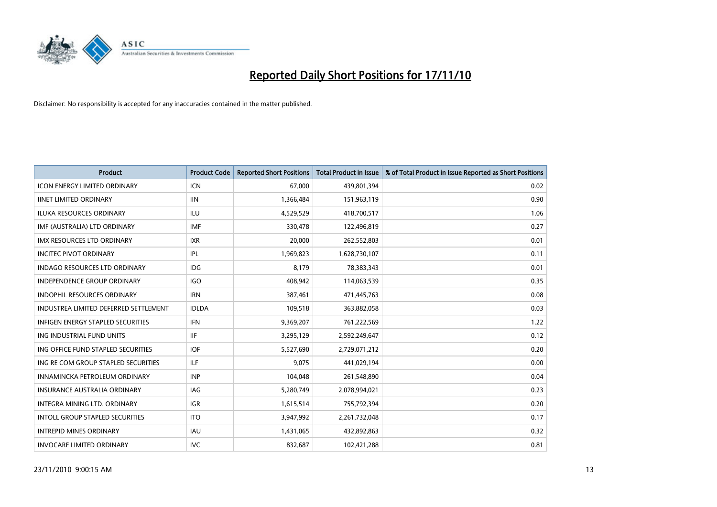

| Product                                  | <b>Product Code</b> | <b>Reported Short Positions</b> | Total Product in Issue | % of Total Product in Issue Reported as Short Positions |
|------------------------------------------|---------------------|---------------------------------|------------------------|---------------------------------------------------------|
| <b>ICON ENERGY LIMITED ORDINARY</b>      | <b>ICN</b>          | 67,000                          | 439,801,394            | 0.02                                                    |
| <b>IINET LIMITED ORDINARY</b>            | <b>IIN</b>          | 1,366,484                       | 151,963,119            | 0.90                                                    |
| <b>ILUKA RESOURCES ORDINARY</b>          | ILU                 | 4,529,529                       | 418,700,517            | 1.06                                                    |
| IMF (AUSTRALIA) LTD ORDINARY             | <b>IMF</b>          | 330,478                         | 122,496,819            | 0.27                                                    |
| <b>IMX RESOURCES LTD ORDINARY</b>        | <b>IXR</b>          | 20,000                          | 262,552,803            | 0.01                                                    |
| <b>INCITEC PIVOT ORDINARY</b>            | IPL                 | 1,969,823                       | 1,628,730,107          | 0.11                                                    |
| <b>INDAGO RESOURCES LTD ORDINARY</b>     | IDG                 | 8.179                           | 78,383,343             | 0.01                                                    |
| <b>INDEPENDENCE GROUP ORDINARY</b>       | <b>IGO</b>          | 408,942                         | 114,063,539            | 0.35                                                    |
| INDOPHIL RESOURCES ORDINARY              | <b>IRN</b>          | 387,461                         | 471,445,763            | 0.08                                                    |
| INDUSTREA LIMITED DEFERRED SETTLEMENT    | <b>IDLDA</b>        | 109,518                         | 363,882,058            | 0.03                                                    |
| <b>INFIGEN ENERGY STAPLED SECURITIES</b> | <b>IFN</b>          | 9,369,207                       | 761,222,569            | 1.22                                                    |
| ING INDUSTRIAL FUND UNITS                | <b>IIF</b>          | 3,295,129                       | 2,592,249,647          | 0.12                                                    |
| ING OFFICE FUND STAPLED SECURITIES       | <b>IOF</b>          | 5,527,690                       | 2,729,071,212          | 0.20                                                    |
| ING RE COM GROUP STAPLED SECURITIES      | ILF.                | 9.075                           | 441,029,194            | 0.00                                                    |
| INNAMINCKA PETROLEUM ORDINARY            | <b>INP</b>          | 104,048                         | 261,548,890            | 0.04                                                    |
| <b>INSURANCE AUSTRALIA ORDINARY</b>      | IAG                 | 5,280,749                       | 2,078,994,021          | 0.23                                                    |
| <b>INTEGRA MINING LTD, ORDINARY</b>      | <b>IGR</b>          | 1,615,514                       | 755,792,394            | 0.20                                                    |
| <b>INTOLL GROUP STAPLED SECURITIES</b>   | <b>ITO</b>          | 3,947,992                       | 2,261,732,048          | 0.17                                                    |
| <b>INTREPID MINES ORDINARY</b>           | <b>IAU</b>          | 1,431,065                       | 432,892,863            | 0.32                                                    |
| <b>INVOCARE LIMITED ORDINARY</b>         | <b>IVC</b>          | 832,687                         | 102,421,288            | 0.81                                                    |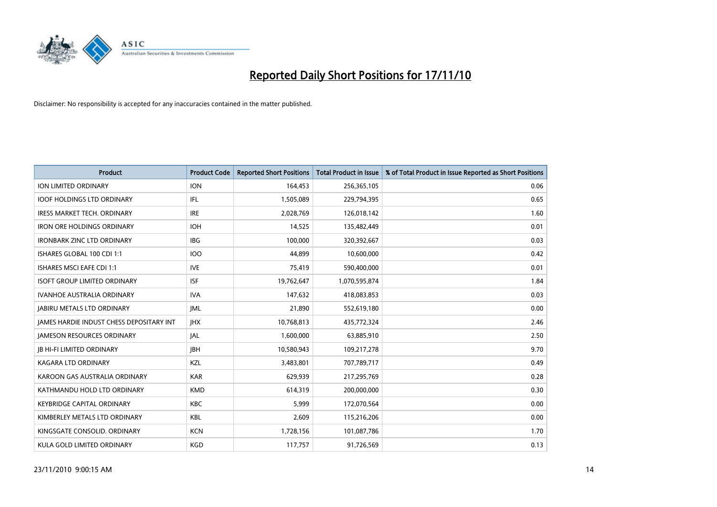

| <b>Product</b>                                  | <b>Product Code</b> | <b>Reported Short Positions</b> | Total Product in Issue | % of Total Product in Issue Reported as Short Positions |
|-------------------------------------------------|---------------------|---------------------------------|------------------------|---------------------------------------------------------|
| <b>ION LIMITED ORDINARY</b>                     | <b>ION</b>          | 164,453                         | 256,365,105            | 0.06                                                    |
| <b>IOOF HOLDINGS LTD ORDINARY</b>               | IFL                 | 1,505,089                       | 229,794,395            | 0.65                                                    |
| <b>IRESS MARKET TECH. ORDINARY</b>              | <b>IRE</b>          | 2,028,769                       | 126,018,142            | 1.60                                                    |
| <b>IRON ORE HOLDINGS ORDINARY</b>               | <b>IOH</b>          | 14,525                          | 135,482,449            | 0.01                                                    |
| <b>IRONBARK ZINC LTD ORDINARY</b>               | <b>IBG</b>          | 100,000                         | 320,392,667            | 0.03                                                    |
| ISHARES GLOBAL 100 CDI 1:1                      | <b>IOO</b>          | 44,899                          | 10,600,000             | 0.42                                                    |
| <b>ISHARES MSCI EAFE CDI 1:1</b>                | <b>IVE</b>          | 75,419                          | 590,400,000            | 0.01                                                    |
| <b>ISOFT GROUP LIMITED ORDINARY</b>             | <b>ISF</b>          | 19,762,647                      | 1,070,595,874          | 1.84                                                    |
| IVANHOE AUSTRALIA ORDINARY                      | <b>IVA</b>          | 147,632                         | 418,083,853            | 0.03                                                    |
| <b>JABIRU METALS LTD ORDINARY</b>               | IML                 | 21,890                          | 552,619,180            | 0.00                                                    |
| <b>JAMES HARDIE INDUST CHESS DEPOSITARY INT</b> | <b>JHX</b>          | 10,768,813                      | 435,772,324            | 2.46                                                    |
| <b>JAMESON RESOURCES ORDINARY</b>               | <b>JAL</b>          | 1,600,000                       | 63,885,910             | 2.50                                                    |
| <b>JB HI-FI LIMITED ORDINARY</b>                | <b>IBH</b>          | 10,580,943                      | 109,217,278            | 9.70                                                    |
| <b>KAGARA LTD ORDINARY</b>                      | KZL                 | 3,483,801                       | 707,789,717            | 0.49                                                    |
| KAROON GAS AUSTRALIA ORDINARY                   | <b>KAR</b>          | 629,939                         | 217,295,769            | 0.28                                                    |
| KATHMANDU HOLD LTD ORDINARY                     | <b>KMD</b>          | 614,319                         | 200,000,000            | 0.30                                                    |
| <b>KEYBRIDGE CAPITAL ORDINARY</b>               | <b>KBC</b>          | 5,999                           | 172,070,564            | 0.00                                                    |
| KIMBERLEY METALS LTD ORDINARY                   | <b>KBL</b>          | 2,609                           | 115,216,206            | 0.00                                                    |
| KINGSGATE CONSOLID. ORDINARY                    | <b>KCN</b>          | 1,728,156                       | 101,087,786            | 1.70                                                    |
| KULA GOLD LIMITED ORDINARY                      | <b>KGD</b>          | 117,757                         | 91,726,569             | 0.13                                                    |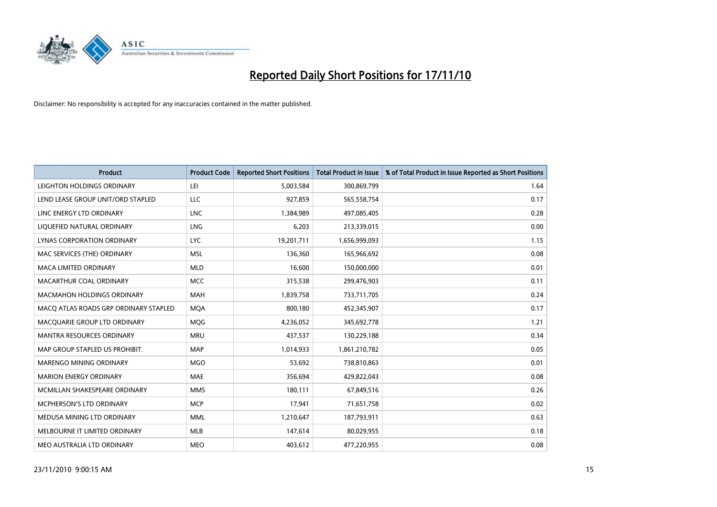

| Product                               | <b>Product Code</b> | <b>Reported Short Positions</b> | Total Product in Issue | % of Total Product in Issue Reported as Short Positions |
|---------------------------------------|---------------------|---------------------------------|------------------------|---------------------------------------------------------|
| LEIGHTON HOLDINGS ORDINARY            | LEI                 | 5,003,584                       | 300,869,799            | 1.64                                                    |
| LEND LEASE GROUP UNIT/ORD STAPLED     | <b>LLC</b>          | 927,859                         | 565,558,754            | 0.17                                                    |
| LINC ENERGY LTD ORDINARY              | <b>LNC</b>          | 1,384,989                       | 497,085,405            | 0.28                                                    |
| LIQUEFIED NATURAL ORDINARY            | <b>LNG</b>          | 6,203                           | 213,339,015            | 0.00                                                    |
| <b>LYNAS CORPORATION ORDINARY</b>     | <b>LYC</b>          | 19,201,711                      | 1,656,999,093          | 1.15                                                    |
| MAC SERVICES (THE) ORDINARY           | <b>MSL</b>          | 136,360                         | 165,966,692            | 0.08                                                    |
| <b>MACA LIMITED ORDINARY</b>          | <b>MLD</b>          | 16,600                          | 150,000,000            | 0.01                                                    |
| MACARTHUR COAL ORDINARY               | <b>MCC</b>          | 315,538                         | 299,476,903            | 0.11                                                    |
| <b>MACMAHON HOLDINGS ORDINARY</b>     | <b>MAH</b>          | 1,839,758                       | 733,711,705            | 0.24                                                    |
| MACO ATLAS ROADS GRP ORDINARY STAPLED | <b>MOA</b>          | 800,180                         | 452,345,907            | 0.17                                                    |
| MACQUARIE GROUP LTD ORDINARY          | <b>MOG</b>          | 4,236,052                       | 345,692,778            | 1.21                                                    |
| <b>MANTRA RESOURCES ORDINARY</b>      | <b>MRU</b>          | 437,537                         | 130,229,188            | 0.34                                                    |
| MAP GROUP STAPLED US PROHIBIT.        | <b>MAP</b>          | 1,014,933                       | 1,861,210,782          | 0.05                                                    |
| <b>MARENGO MINING ORDINARY</b>        | <b>MGO</b>          | 53,692                          | 738,810,863            | 0.01                                                    |
| <b>MARION ENERGY ORDINARY</b>         | <b>MAE</b>          | 356,694                         | 429,822,043            | 0.08                                                    |
| MCMILLAN SHAKESPEARE ORDINARY         | <b>MMS</b>          | 180,111                         | 67,849,516             | 0.26                                                    |
| <b>MCPHERSON'S LTD ORDINARY</b>       | <b>MCP</b>          | 17,941                          | 71,651,758             | 0.02                                                    |
| MEDUSA MINING LTD ORDINARY            | <b>MML</b>          | 1,210,647                       | 187,793,911            | 0.63                                                    |
| MELBOURNE IT LIMITED ORDINARY         | <b>MLB</b>          | 147,614                         | 80,029,955             | 0.18                                                    |
| MEO AUSTRALIA LTD ORDINARY            | <b>MEO</b>          | 403,612                         | 477,220,955            | 0.08                                                    |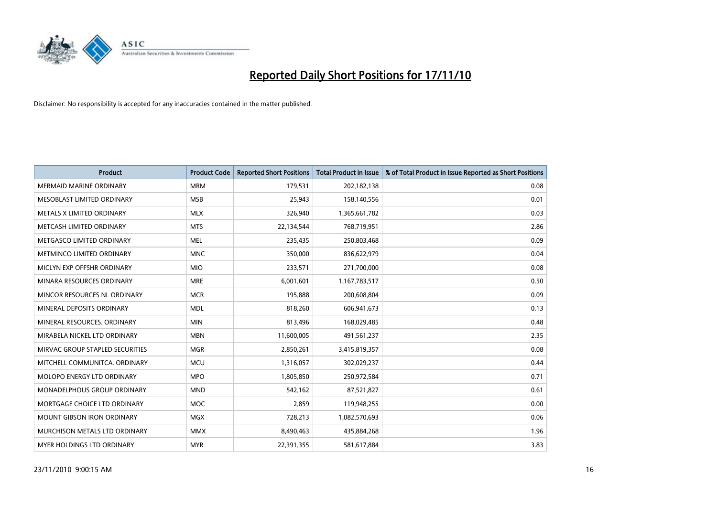

| Product                         | <b>Product Code</b> | <b>Reported Short Positions</b> | Total Product in Issue | % of Total Product in Issue Reported as Short Positions |
|---------------------------------|---------------------|---------------------------------|------------------------|---------------------------------------------------------|
| <b>MERMAID MARINE ORDINARY</b>  | <b>MRM</b>          | 179,531                         | 202,182,138            | 0.08                                                    |
| MESOBLAST LIMITED ORDINARY      | <b>MSB</b>          | 25,943                          | 158,140,556            | 0.01                                                    |
| METALS X LIMITED ORDINARY       | <b>MLX</b>          | 326,940                         | 1,365,661,782          | 0.03                                                    |
| METCASH LIMITED ORDINARY        | <b>MTS</b>          | 22,134,544                      | 768,719,951            | 2.86                                                    |
| METGASCO LIMITED ORDINARY       | <b>MEL</b>          | 235,435                         | 250,803,468            | 0.09                                                    |
| METMINCO LIMITED ORDINARY       | <b>MNC</b>          | 350,000                         | 836,622,979            | 0.04                                                    |
| MICLYN EXP OFFSHR ORDINARY      | <b>MIO</b>          | 233,571                         | 271,700,000            | 0.08                                                    |
| MINARA RESOURCES ORDINARY       | <b>MRE</b>          | 6,001,601                       | 1,167,783,517          | 0.50                                                    |
| MINCOR RESOURCES NL ORDINARY    | <b>MCR</b>          | 195,888                         | 200,608,804            | 0.09                                                    |
| MINERAL DEPOSITS ORDINARY       | <b>MDL</b>          | 818,260                         | 606,941,673            | 0.13                                                    |
| MINERAL RESOURCES. ORDINARY     | <b>MIN</b>          | 813,496                         | 168,029,485            | 0.48                                                    |
| MIRABELA NICKEL LTD ORDINARY    | <b>MBN</b>          | 11,600,005                      | 491,561,237            | 2.35                                                    |
| MIRVAC GROUP STAPLED SECURITIES | <b>MGR</b>          | 2,850,261                       | 3,415,819,357          | 0.08                                                    |
| MITCHELL COMMUNITCA, ORDINARY   | <b>MCU</b>          | 1,316,057                       | 302,029,237            | 0.44                                                    |
| MOLOPO ENERGY LTD ORDINARY      | <b>MPO</b>          | 1,805,850                       | 250,972,584            | 0.71                                                    |
| MONADELPHOUS GROUP ORDINARY     | <b>MND</b>          | 542,162                         | 87,521,827             | 0.61                                                    |
| MORTGAGE CHOICE LTD ORDINARY    | <b>MOC</b>          | 2,859                           | 119,948,255            | 0.00                                                    |
| MOUNT GIBSON IRON ORDINARY      | <b>MGX</b>          | 728,213                         | 1,082,570,693          | 0.06                                                    |
| MURCHISON METALS LTD ORDINARY   | <b>MMX</b>          | 8,490,463                       | 435,884,268            | 1.96                                                    |
| MYER HOLDINGS LTD ORDINARY      | <b>MYR</b>          | 22,391,355                      | 581,617,884            | 3.83                                                    |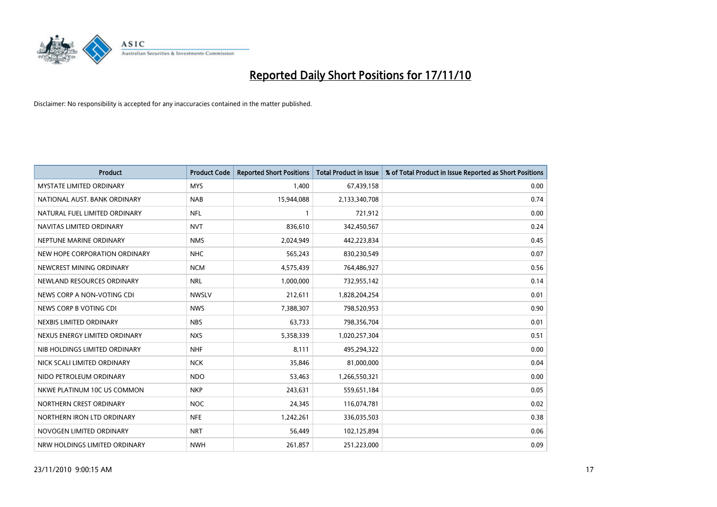

| Product                         | <b>Product Code</b> | <b>Reported Short Positions</b> | Total Product in Issue | % of Total Product in Issue Reported as Short Positions |
|---------------------------------|---------------------|---------------------------------|------------------------|---------------------------------------------------------|
| <b>MYSTATE LIMITED ORDINARY</b> | <b>MYS</b>          | 1,400                           | 67,439,158             | 0.00                                                    |
| NATIONAL AUST. BANK ORDINARY    | <b>NAB</b>          | 15,944,088                      | 2,133,340,708          | 0.74                                                    |
| NATURAL FUEL LIMITED ORDINARY   | <b>NFL</b>          |                                 | 721,912                | 0.00                                                    |
| NAVITAS LIMITED ORDINARY        | <b>NVT</b>          | 836,610                         | 342,450,567            | 0.24                                                    |
| NEPTUNE MARINE ORDINARY         | <b>NMS</b>          | 2,024,949                       | 442,223,834            | 0.45                                                    |
| NEW HOPE CORPORATION ORDINARY   | <b>NHC</b>          | 565,243                         | 830,230,549            | 0.07                                                    |
| NEWCREST MINING ORDINARY        | <b>NCM</b>          | 4,575,439                       | 764,486,927            | 0.56                                                    |
| NEWLAND RESOURCES ORDINARY      | <b>NRL</b>          | 1,000,000                       | 732,955,142            | 0.14                                                    |
| NEWS CORP A NON-VOTING CDI      | <b>NWSLV</b>        | 212,611                         | 1,828,204,254          | 0.01                                                    |
| NEWS CORP B VOTING CDI          | <b>NWS</b>          | 7,388,307                       | 798,520,953            | 0.90                                                    |
| NEXBIS LIMITED ORDINARY         | <b>NBS</b>          | 63,733                          | 798,356,704            | 0.01                                                    |
| NEXUS ENERGY LIMITED ORDINARY   | <b>NXS</b>          | 5,358,339                       | 1,020,257,304          | 0.51                                                    |
| NIB HOLDINGS LIMITED ORDINARY   | <b>NHF</b>          | 8,111                           | 495,294,322            | 0.00                                                    |
| NICK SCALI LIMITED ORDINARY     | <b>NCK</b>          | 35,846                          | 81,000,000             | 0.04                                                    |
| NIDO PETROLEUM ORDINARY         | <b>NDO</b>          | 53,463                          | 1,266,550,321          | 0.00                                                    |
| NKWE PLATINUM 10C US COMMON     | <b>NKP</b>          | 243,631                         | 559,651,184            | 0.05                                                    |
| NORTHERN CREST ORDINARY         | <b>NOC</b>          | 24,345                          | 116,074,781            | 0.02                                                    |
| NORTHERN IRON LTD ORDINARY      | <b>NFE</b>          | 1,242,261                       | 336,035,503            | 0.38                                                    |
| NOVOGEN LIMITED ORDINARY        | <b>NRT</b>          | 56,449                          | 102,125,894            | 0.06                                                    |
| NRW HOLDINGS LIMITED ORDINARY   | <b>NWH</b>          | 261,857                         | 251,223,000            | 0.09                                                    |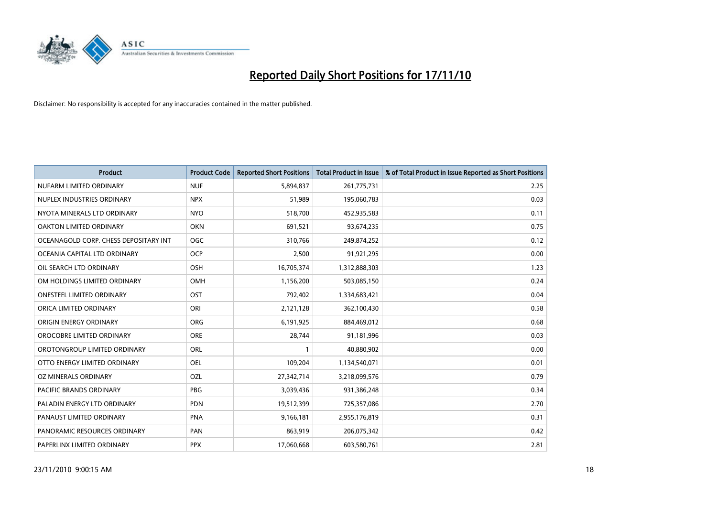

| <b>Product</b>                        | <b>Product Code</b> | <b>Reported Short Positions</b> | <b>Total Product in Issue</b> | % of Total Product in Issue Reported as Short Positions |
|---------------------------------------|---------------------|---------------------------------|-------------------------------|---------------------------------------------------------|
| NUFARM LIMITED ORDINARY               | <b>NUF</b>          | 5,894,837                       | 261,775,731                   | 2.25                                                    |
| NUPLEX INDUSTRIES ORDINARY            | <b>NPX</b>          | 51,989                          | 195,060,783                   | 0.03                                                    |
| NYOTA MINERALS LTD ORDINARY           | <b>NYO</b>          | 518,700                         | 452,935,583                   | 0.11                                                    |
| OAKTON LIMITED ORDINARY               | <b>OKN</b>          | 691,521                         | 93,674,235                    | 0.75                                                    |
| OCEANAGOLD CORP. CHESS DEPOSITARY INT | <b>OGC</b>          | 310,766                         | 249,874,252                   | 0.12                                                    |
| OCEANIA CAPITAL LTD ORDINARY          | <b>OCP</b>          | 2,500                           | 91,921,295                    | 0.00                                                    |
| OIL SEARCH LTD ORDINARY               | <b>OSH</b>          | 16,705,374                      | 1,312,888,303                 | 1.23                                                    |
| OM HOLDINGS LIMITED ORDINARY          | OMH                 | 1,156,200                       | 503,085,150                   | 0.24                                                    |
| ONESTEEL LIMITED ORDINARY             | <b>OST</b>          | 792,402                         | 1,334,683,421                 | 0.04                                                    |
| ORICA LIMITED ORDINARY                | ORI                 | 2,121,128                       | 362,100,430                   | 0.58                                                    |
| ORIGIN ENERGY ORDINARY                | ORG                 | 6,191,925                       | 884,469,012                   | 0.68                                                    |
| OROCOBRE LIMITED ORDINARY             | <b>ORE</b>          | 28,744                          | 91,181,996                    | 0.03                                                    |
| OROTONGROUP LIMITED ORDINARY          | <b>ORL</b>          |                                 | 40,880,902                    | 0.00                                                    |
| OTTO ENERGY LIMITED ORDINARY          | <b>OEL</b>          | 109,204                         | 1,134,540,071                 | 0.01                                                    |
| OZ MINERALS ORDINARY                  | OZL                 | 27,342,714                      | 3,218,099,576                 | 0.79                                                    |
| <b>PACIFIC BRANDS ORDINARY</b>        | <b>PBG</b>          | 3,039,436                       | 931,386,248                   | 0.34                                                    |
| PALADIN ENERGY LTD ORDINARY           | <b>PDN</b>          | 19,512,399                      | 725,357,086                   | 2.70                                                    |
| PANAUST LIMITED ORDINARY              | <b>PNA</b>          | 9,166,181                       | 2,955,176,819                 | 0.31                                                    |
| PANORAMIC RESOURCES ORDINARY          | PAN                 | 863,919                         | 206,075,342                   | 0.42                                                    |
| PAPERLINX LIMITED ORDINARY            | <b>PPX</b>          | 17,060,668                      | 603,580,761                   | 2.81                                                    |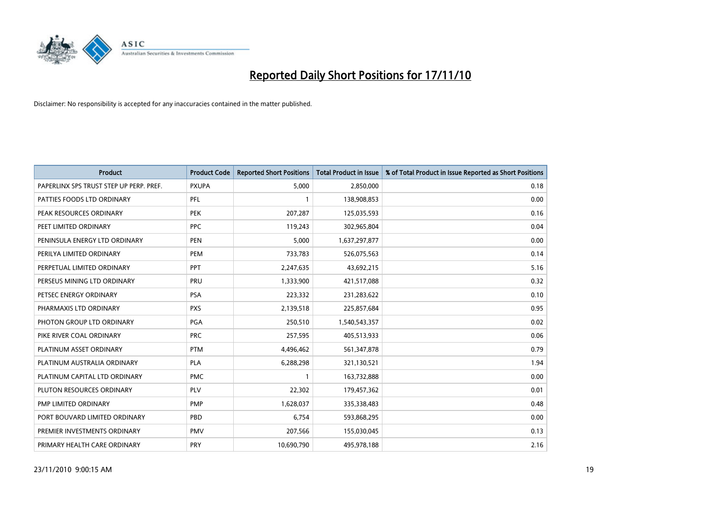

| Product                                 | <b>Product Code</b> | <b>Reported Short Positions</b> | Total Product in Issue | % of Total Product in Issue Reported as Short Positions |
|-----------------------------------------|---------------------|---------------------------------|------------------------|---------------------------------------------------------|
| PAPERLINX SPS TRUST STEP UP PERP. PREF. | <b>PXUPA</b>        | 5,000                           | 2,850,000              | 0.18                                                    |
| PATTIES FOODS LTD ORDINARY              | PFL                 |                                 | 138,908,853            | 0.00                                                    |
| PEAK RESOURCES ORDINARY                 | <b>PEK</b>          | 207,287                         | 125,035,593            | 0.16                                                    |
| PEET LIMITED ORDINARY                   | <b>PPC</b>          | 119,243                         | 302,965,804            | 0.04                                                    |
| PENINSULA ENERGY LTD ORDINARY           | <b>PEN</b>          | 5,000                           | 1,637,297,877          | 0.00                                                    |
| PERILYA LIMITED ORDINARY                | PEM                 | 733,783                         | 526,075,563            | 0.14                                                    |
| PERPETUAL LIMITED ORDINARY              | PPT                 | 2,247,635                       | 43,692,215             | 5.16                                                    |
| PERSEUS MINING LTD ORDINARY             | PRU                 | 1,333,900                       | 421,517,088            | 0.32                                                    |
| PETSEC ENERGY ORDINARY                  | PSA                 | 223,332                         | 231,283,622            | 0.10                                                    |
| PHARMAXIS LTD ORDINARY                  | <b>PXS</b>          | 2,139,518                       | 225,857,684            | 0.95                                                    |
| PHOTON GROUP LTD ORDINARY               | PGA                 | 250,510                         | 1,540,543,357          | 0.02                                                    |
| PIKE RIVER COAL ORDINARY                | <b>PRC</b>          | 257,595                         | 405,513,933            | 0.06                                                    |
| PLATINUM ASSET ORDINARY                 | <b>PTM</b>          | 4,496,462                       | 561,347,878            | 0.79                                                    |
| PLATINUM AUSTRALIA ORDINARY             | <b>PLA</b>          | 6,288,298                       | 321,130,521            | 1.94                                                    |
| PLATINUM CAPITAL LTD ORDINARY           | <b>PMC</b>          |                                 | 163,732,888            | 0.00                                                    |
| PLUTON RESOURCES ORDINARY               | <b>PLV</b>          | 22,302                          | 179,457,362            | 0.01                                                    |
| PMP LIMITED ORDINARY                    | <b>PMP</b>          | 1,628,037                       | 335,338,483            | 0.48                                                    |
| PORT BOUVARD LIMITED ORDINARY           | <b>PBD</b>          | 6,754                           | 593,868,295            | 0.00                                                    |
| PREMIER INVESTMENTS ORDINARY            | <b>PMV</b>          | 207,566                         | 155,030,045            | 0.13                                                    |
| PRIMARY HEALTH CARE ORDINARY            | PRY                 | 10,690,790                      | 495,978,188            | 2.16                                                    |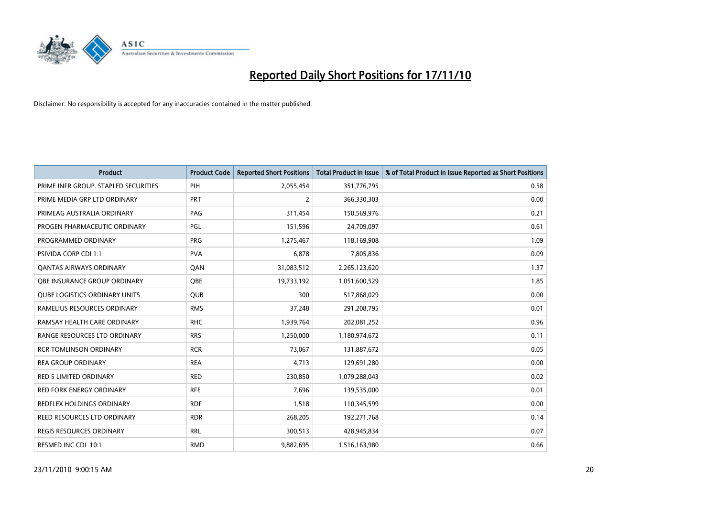

| <b>Product</b>                       | <b>Product Code</b> | <b>Reported Short Positions</b> | <b>Total Product in Issue</b> | % of Total Product in Issue Reported as Short Positions |
|--------------------------------------|---------------------|---------------------------------|-------------------------------|---------------------------------------------------------|
| PRIME INFR GROUP. STAPLED SECURITIES | PIH                 | 2,055,454                       | 351,776,795                   | 0.58                                                    |
| PRIME MEDIA GRP LTD ORDINARY         | <b>PRT</b>          | 2                               | 366,330,303                   | 0.00                                                    |
| PRIMEAG AUSTRALIA ORDINARY           | PAG                 | 311,454                         | 150,569,976                   | 0.21                                                    |
| PROGEN PHARMACEUTIC ORDINARY         | <b>PGL</b>          | 151,596                         | 24,709,097                    | 0.61                                                    |
| PROGRAMMED ORDINARY                  | <b>PRG</b>          | 1,275,467                       | 118,169,908                   | 1.09                                                    |
| PSIVIDA CORP CDI 1:1                 | <b>PVA</b>          | 6,878                           | 7,805,836                     | 0.09                                                    |
| <b>QANTAS AIRWAYS ORDINARY</b>       | QAN                 | 31,083,512                      | 2,265,123,620                 | 1.37                                                    |
| OBE INSURANCE GROUP ORDINARY         | <b>OBE</b>          | 19,733,192                      | 1,051,600,529                 | 1.85                                                    |
| <b>QUBE LOGISTICS ORDINARY UNITS</b> | <b>QUB</b>          | 300                             | 517,868,029                   | 0.00                                                    |
| RAMELIUS RESOURCES ORDINARY          | <b>RMS</b>          | 37,248                          | 291,208,795                   | 0.01                                                    |
| RAMSAY HEALTH CARE ORDINARY          | <b>RHC</b>          | 1,939,764                       | 202,081,252                   | 0.96                                                    |
| RANGE RESOURCES LTD ORDINARY         | <b>RRS</b>          | 1,250,000                       | 1,180,974,672                 | 0.11                                                    |
| <b>RCR TOMLINSON ORDINARY</b>        | <b>RCR</b>          | 73,067                          | 131,887,672                   | 0.05                                                    |
| <b>REA GROUP ORDINARY</b>            | <b>REA</b>          | 4,713                           | 129,691,280                   | 0.00                                                    |
| <b>RED 5 LIMITED ORDINARY</b>        | <b>RED</b>          | 230,850                         | 1,079,288,043                 | 0.02                                                    |
| <b>RED FORK ENERGY ORDINARY</b>      | <b>RFE</b>          | 7,696                           | 139,535,000                   | 0.01                                                    |
| REDFLEX HOLDINGS ORDINARY            | <b>RDF</b>          | 1,518                           | 110,345,599                   | 0.00                                                    |
| REED RESOURCES LTD ORDINARY          | <b>RDR</b>          | 268,205                         | 192,271,768                   | 0.14                                                    |
| <b>REGIS RESOURCES ORDINARY</b>      | <b>RRL</b>          | 300,513                         | 428,945,834                   | 0.07                                                    |
| RESMED INC CDI 10:1                  | <b>RMD</b>          | 9,882,695                       | 1,516,163,980                 | 0.66                                                    |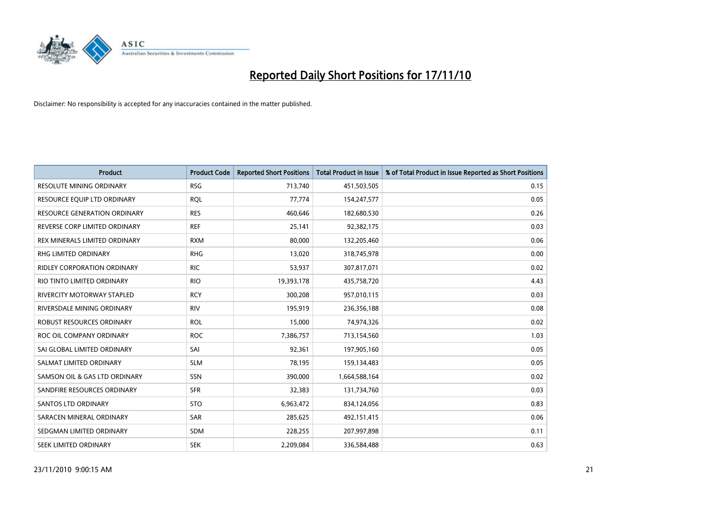

| Product                             | <b>Product Code</b> | <b>Reported Short Positions</b> | <b>Total Product in Issue</b> | % of Total Product in Issue Reported as Short Positions |
|-------------------------------------|---------------------|---------------------------------|-------------------------------|---------------------------------------------------------|
| <b>RESOLUTE MINING ORDINARY</b>     | <b>RSG</b>          | 713,740                         | 451,503,505                   | 0.15                                                    |
| RESOURCE EQUIP LTD ORDINARY         | <b>ROL</b>          | 77,774                          | 154,247,577                   | 0.05                                                    |
| <b>RESOURCE GENERATION ORDINARY</b> | <b>RES</b>          | 460,646                         | 182,680,530                   | 0.26                                                    |
| REVERSE CORP LIMITED ORDINARY       | <b>REF</b>          | 25,141                          | 92,382,175                    | 0.03                                                    |
| REX MINERALS LIMITED ORDINARY       | <b>RXM</b>          | 80,000                          | 132,205,460                   | 0.06                                                    |
| <b>RHG LIMITED ORDINARY</b>         | <b>RHG</b>          | 13,020                          | 318,745,978                   | 0.00                                                    |
| <b>RIDLEY CORPORATION ORDINARY</b>  | <b>RIC</b>          | 53,937                          | 307,817,071                   | 0.02                                                    |
| RIO TINTO LIMITED ORDINARY          | <b>RIO</b>          | 19,393,178                      | 435,758,720                   | 4.43                                                    |
| RIVERCITY MOTORWAY STAPLED          | <b>RCY</b>          | 300,208                         | 957,010,115                   | 0.03                                                    |
| RIVERSDALE MINING ORDINARY          | <b>RIV</b>          | 195,919                         | 236,356,188                   | 0.08                                                    |
| ROBUST RESOURCES ORDINARY           | <b>ROL</b>          | 15,000                          | 74,974,326                    | 0.02                                                    |
| ROC OIL COMPANY ORDINARY            | <b>ROC</b>          | 7,386,757                       | 713,154,560                   | 1.03                                                    |
| SAI GLOBAL LIMITED ORDINARY         | SAI                 | 92,361                          | 197,905,160                   | 0.05                                                    |
| SALMAT LIMITED ORDINARY             | <b>SLM</b>          | 78,195                          | 159,134,483                   | 0.05                                                    |
| SAMSON OIL & GAS LTD ORDINARY       | SSN                 | 390,000                         | 1,664,588,164                 | 0.02                                                    |
| SANDFIRE RESOURCES ORDINARY         | <b>SFR</b>          | 32,383                          | 131,734,760                   | 0.03                                                    |
| SANTOS LTD ORDINARY                 | <b>STO</b>          | 6,963,472                       | 834,124,056                   | 0.83                                                    |
| SARACEN MINERAL ORDINARY            | <b>SAR</b>          | 285,625                         | 492,151,415                   | 0.06                                                    |
| SEDGMAN LIMITED ORDINARY            | <b>SDM</b>          | 228,255                         | 207,997,898                   | 0.11                                                    |
| SEEK LIMITED ORDINARY               | <b>SEK</b>          | 2,209,084                       | 336,584,488                   | 0.63                                                    |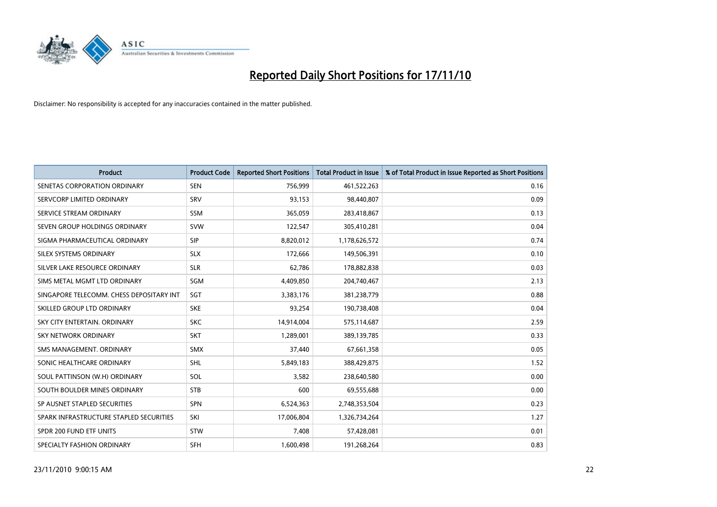

| <b>Product</b>                           | <b>Product Code</b> | <b>Reported Short Positions</b> | Total Product in Issue | % of Total Product in Issue Reported as Short Positions |
|------------------------------------------|---------------------|---------------------------------|------------------------|---------------------------------------------------------|
| SENETAS CORPORATION ORDINARY             | <b>SEN</b>          | 756,999                         | 461,522,263            | 0.16                                                    |
| SERVCORP LIMITED ORDINARY                | SRV                 | 93,153                          | 98,440,807             | 0.09                                                    |
| SERVICE STREAM ORDINARY                  | SSM                 | 365,059                         | 283,418,867            | 0.13                                                    |
| SEVEN GROUP HOLDINGS ORDINARY            | <b>SVW</b>          | 122,547                         | 305,410,281            | 0.04                                                    |
| SIGMA PHARMACEUTICAL ORDINARY            | <b>SIP</b>          | 8,820,012                       | 1,178,626,572          | 0.74                                                    |
| SILEX SYSTEMS ORDINARY                   | <b>SLX</b>          | 172,666                         | 149,506,391            | 0.10                                                    |
| SILVER LAKE RESOURCE ORDINARY            | <b>SLR</b>          | 62,786                          | 178,882,838            | 0.03                                                    |
| SIMS METAL MGMT LTD ORDINARY             | <b>SGM</b>          | 4,409,850                       | 204,740,467            | 2.13                                                    |
| SINGAPORE TELECOMM. CHESS DEPOSITARY INT | <b>SGT</b>          | 3,383,176                       | 381,238,779            | 0.88                                                    |
| SKILLED GROUP LTD ORDINARY               | <b>SKE</b>          | 93,254                          | 190,738,408            | 0.04                                                    |
| SKY CITY ENTERTAIN, ORDINARY             | <b>SKC</b>          | 14,914,004                      | 575,114,687            | 2.59                                                    |
| <b>SKY NETWORK ORDINARY</b>              | <b>SKT</b>          | 1,289,001                       | 389,139,785            | 0.33                                                    |
| SMS MANAGEMENT, ORDINARY                 | <b>SMX</b>          | 37,440                          | 67,661,358             | 0.05                                                    |
| SONIC HEALTHCARE ORDINARY                | <b>SHL</b>          | 5,849,183                       | 388,429,875            | 1.52                                                    |
| SOUL PATTINSON (W.H) ORDINARY            | SOL                 | 3,582                           | 238,640,580            | 0.00                                                    |
| SOUTH BOULDER MINES ORDINARY             | <b>STB</b>          | 600                             | 69,555,688             | 0.00                                                    |
| SP AUSNET STAPLED SECURITIES             | <b>SPN</b>          | 6,524,363                       | 2,748,353,504          | 0.23                                                    |
| SPARK INFRASTRUCTURE STAPLED SECURITIES  | SKI                 | 17,006,804                      | 1,326,734,264          | 1.27                                                    |
| SPDR 200 FUND ETF UNITS                  | <b>STW</b>          | 7,408                           | 57,428,081             | 0.01                                                    |
| SPECIALTY FASHION ORDINARY               | <b>SFH</b>          | 1,600,498                       | 191,268,264            | 0.83                                                    |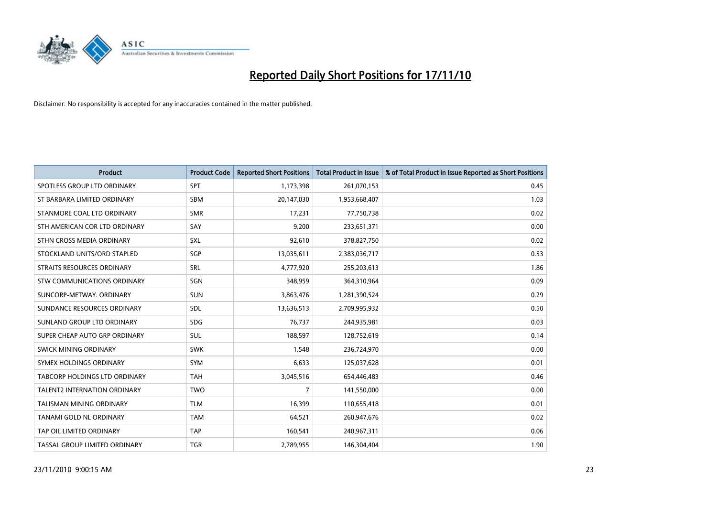

| <b>Product</b>                      | <b>Product Code</b> | <b>Reported Short Positions</b> | <b>Total Product in Issue</b> | % of Total Product in Issue Reported as Short Positions |
|-------------------------------------|---------------------|---------------------------------|-------------------------------|---------------------------------------------------------|
| SPOTLESS GROUP LTD ORDINARY         | <b>SPT</b>          | 1,173,398                       | 261,070,153                   | 0.45                                                    |
| ST BARBARA LIMITED ORDINARY         | <b>SBM</b>          | 20,147,030                      | 1,953,668,407                 | 1.03                                                    |
| STANMORE COAL LTD ORDINARY          | <b>SMR</b>          | 17,231                          | 77,750,738                    | 0.02                                                    |
| STH AMERICAN COR LTD ORDINARY       | SAY                 | 9,200                           | 233,651,371                   | 0.00                                                    |
| STHN CROSS MEDIA ORDINARY           | SXL                 | 92,610                          | 378,827,750                   | 0.02                                                    |
| STOCKLAND UNITS/ORD STAPLED         | SGP                 | 13,035,611                      | 2,383,036,717                 | 0.53                                                    |
| STRAITS RESOURCES ORDINARY          | <b>SRL</b>          | 4,777,920                       | 255,203,613                   | 1.86                                                    |
| STW COMMUNICATIONS ORDINARY         | SGN                 | 348,959                         | 364,310,964                   | 0.09                                                    |
| SUNCORP-METWAY, ORDINARY            | <b>SUN</b>          | 3,863,476                       | 1,281,390,524                 | 0.29                                                    |
| SUNDANCE RESOURCES ORDINARY         | SDL                 | 13,636,513                      | 2,709,995,932                 | 0.50                                                    |
| SUNLAND GROUP LTD ORDINARY          | <b>SDG</b>          | 76,737                          | 244,935,981                   | 0.03                                                    |
| SUPER CHEAP AUTO GRP ORDINARY       | SUL                 | 188,597                         | 128,752,619                   | 0.14                                                    |
| SWICK MINING ORDINARY               | <b>SWK</b>          | 1,548                           | 236,724,970                   | 0.00                                                    |
| SYMEX HOLDINGS ORDINARY             | <b>SYM</b>          | 6,633                           | 125,037,628                   | 0.01                                                    |
| TABCORP HOLDINGS LTD ORDINARY       | <b>TAH</b>          | 3,045,516                       | 654,446,483                   | 0.46                                                    |
| <b>TALENT2 INTERNATION ORDINARY</b> | <b>TWO</b>          | 7                               | 141,550,000                   | 0.00                                                    |
| TALISMAN MINING ORDINARY            | <b>TLM</b>          | 16,399                          | 110,655,418                   | 0.01                                                    |
| TANAMI GOLD NL ORDINARY             | <b>TAM</b>          | 64,521                          | 260,947,676                   | 0.02                                                    |
| TAP OIL LIMITED ORDINARY            | <b>TAP</b>          | 160,541                         | 240,967,311                   | 0.06                                                    |
| TASSAL GROUP LIMITED ORDINARY       | <b>TGR</b>          | 2,789,955                       | 146,304,404                   | 1.90                                                    |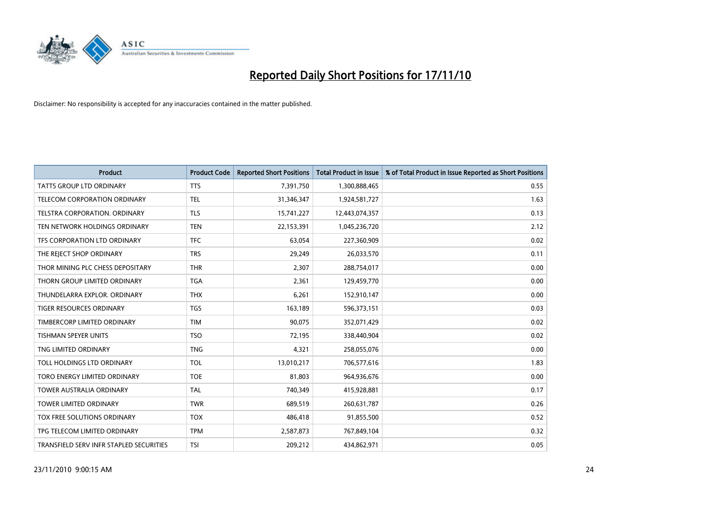

| <b>Product</b>                          | <b>Product Code</b> | <b>Reported Short Positions</b> | <b>Total Product in Issue</b> | % of Total Product in Issue Reported as Short Positions |
|-----------------------------------------|---------------------|---------------------------------|-------------------------------|---------------------------------------------------------|
| <b>TATTS GROUP LTD ORDINARY</b>         | <b>TTS</b>          | 7,391,750                       | 1,300,888,465                 | 0.55                                                    |
| TELECOM CORPORATION ORDINARY            | <b>TEL</b>          | 31,346,347                      | 1,924,581,727                 | 1.63                                                    |
| <b>TELSTRA CORPORATION, ORDINARY</b>    | <b>TLS</b>          | 15,741,227                      | 12,443,074,357                | 0.13                                                    |
| TEN NETWORK HOLDINGS ORDINARY           | <b>TEN</b>          | 22,153,391                      | 1,045,236,720                 | 2.12                                                    |
| TFS CORPORATION LTD ORDINARY            | <b>TFC</b>          | 63,054                          | 227,360,909                   | 0.02                                                    |
| THE REJECT SHOP ORDINARY                | <b>TRS</b>          | 29,249                          | 26,033,570                    | 0.11                                                    |
| THOR MINING PLC CHESS DEPOSITARY        | <b>THR</b>          | 2,307                           | 288,754,017                   | 0.00                                                    |
| THORN GROUP LIMITED ORDINARY            | <b>TGA</b>          | 2,361                           | 129,459,770                   | 0.00                                                    |
| THUNDELARRA EXPLOR. ORDINARY            | <b>THX</b>          | 6,261                           | 152,910,147                   | 0.00                                                    |
| <b>TIGER RESOURCES ORDINARY</b>         | <b>TGS</b>          | 163,189                         | 596,373,151                   | 0.03                                                    |
| TIMBERCORP LIMITED ORDINARY             | <b>TIM</b>          | 90,075                          | 352,071,429                   | 0.02                                                    |
| TISHMAN SPEYER UNITS                    | <b>TSO</b>          | 72,195                          | 338,440,904                   | 0.02                                                    |
| TNG LIMITED ORDINARY                    | <b>TNG</b>          | 4,321                           | 258,055,076                   | 0.00                                                    |
| <b>TOLL HOLDINGS LTD ORDINARY</b>       | <b>TOL</b>          | 13,010,217                      | 706,577,616                   | 1.83                                                    |
| TORO ENERGY LIMITED ORDINARY            | <b>TOE</b>          | 81,803                          | 964,936,676                   | 0.00                                                    |
| <b>TOWER AUSTRALIA ORDINARY</b>         | <b>TAL</b>          | 740,349                         | 415,928,881                   | 0.17                                                    |
| <b>TOWER LIMITED ORDINARY</b>           | <b>TWR</b>          | 689,519                         | 260,631,787                   | 0.26                                                    |
| TOX FREE SOLUTIONS ORDINARY             | <b>TOX</b>          | 486,418                         | 91,855,500                    | 0.52                                                    |
| TPG TELECOM LIMITED ORDINARY            | <b>TPM</b>          | 2,587,873                       | 767,849,104                   | 0.32                                                    |
| TRANSFIELD SERV INFR STAPLED SECURITIES | <b>TSI</b>          | 209,212                         | 434,862,971                   | 0.05                                                    |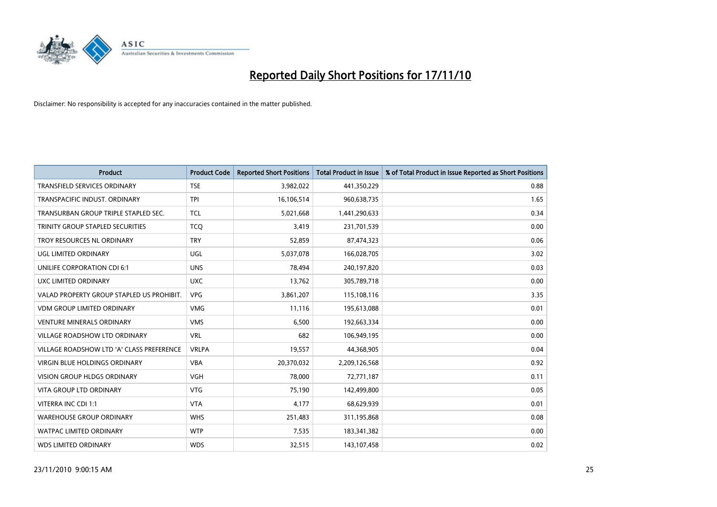

| <b>Product</b>                            | <b>Product Code</b> | <b>Reported Short Positions</b> | <b>Total Product in Issue</b> | % of Total Product in Issue Reported as Short Positions |
|-------------------------------------------|---------------------|---------------------------------|-------------------------------|---------------------------------------------------------|
| <b>TRANSFIELD SERVICES ORDINARY</b>       | <b>TSE</b>          | 3,982,022                       | 441,350,229                   | 0.88                                                    |
| TRANSPACIFIC INDUST. ORDINARY             | <b>TPI</b>          | 16,106,514                      | 960,638,735                   | 1.65                                                    |
| TRANSURBAN GROUP TRIPLE STAPLED SEC.      | <b>TCL</b>          | 5,021,668                       | 1,441,290,633                 | 0.34                                                    |
| TRINITY GROUP STAPLED SECURITIES          | <b>TCO</b>          | 3,419                           | 231,701,539                   | 0.00                                                    |
| TROY RESOURCES NL ORDINARY                | <b>TRY</b>          | 52,859                          | 87,474,323                    | 0.06                                                    |
| UGL LIMITED ORDINARY                      | UGL                 | 5,037,078                       | 166,028,705                   | 3.02                                                    |
| UNILIFE CORPORATION CDI 6:1               | <b>UNS</b>          | 78.494                          | 240,197,820                   | 0.03                                                    |
| UXC LIMITED ORDINARY                      | <b>UXC</b>          | 13,762                          | 305,789,718                   | 0.00                                                    |
| VALAD PROPERTY GROUP STAPLED US PROHIBIT. | <b>VPG</b>          | 3,861,207                       | 115,108,116                   | 3.35                                                    |
| <b>VDM GROUP LIMITED ORDINARY</b>         | <b>VMG</b>          | 11,116                          | 195,613,088                   | 0.01                                                    |
| <b>VENTURE MINERALS ORDINARY</b>          | <b>VMS</b>          | 6,500                           | 192,663,334                   | 0.00                                                    |
| <b>VILLAGE ROADSHOW LTD ORDINARY</b>      | <b>VRL</b>          | 682                             | 106,949,195                   | 0.00                                                    |
| VILLAGE ROADSHOW LTD 'A' CLASS PREFERENCE | <b>VRLPA</b>        | 19,557                          | 44,368,905                    | 0.04                                                    |
| <b>VIRGIN BLUE HOLDINGS ORDINARY</b>      | <b>VBA</b>          | 20,370,032                      | 2,209,126,568                 | 0.92                                                    |
| <b>VISION GROUP HLDGS ORDINARY</b>        | <b>VGH</b>          | 78,000                          | 72,771,187                    | 0.11                                                    |
| VITA GROUP LTD ORDINARY                   | <b>VTG</b>          | 75,190                          | 142,499,800                   | 0.05                                                    |
| VITERRA INC CDI 1:1                       | <b>VTA</b>          | 4,177                           | 68,629,939                    | 0.01                                                    |
| <b>WAREHOUSE GROUP ORDINARY</b>           | <b>WHS</b>          | 251,483                         | 311,195,868                   | 0.08                                                    |
| <b>WATPAC LIMITED ORDINARY</b>            | <b>WTP</b>          | 7,535                           | 183,341,382                   | 0.00                                                    |
| <b>WDS LIMITED ORDINARY</b>               | <b>WDS</b>          | 32,515                          | 143,107,458                   | 0.02                                                    |